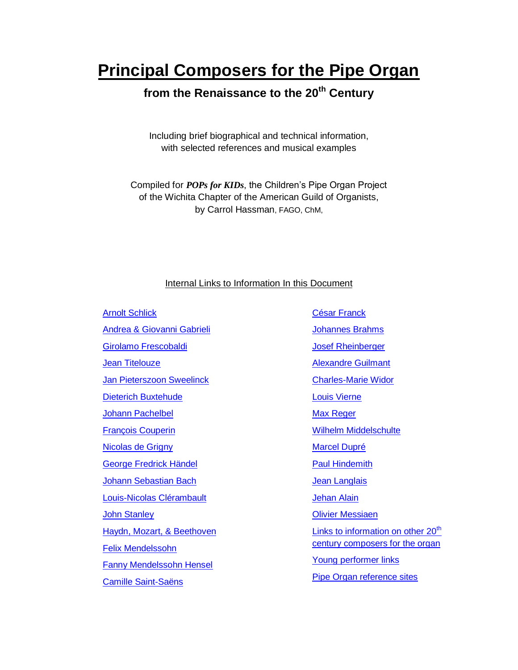# **Principal Composers for the Pipe Organ**

# **from the Renaissance to the 20th Century**

Including brief biographical and technical information, with selected references and musical examples

Compiled for *POPs for KIDs*, the Children's Pipe Organ Project of the Wichita Chapter of the American Guild of Organists, by Carrol Hassman, FAGO, ChM,

#### Internal Links to Information In this Document

Arnolt [Schlick](#page-1-0) [Andrea & Giovanni Gabrieli](#page-2-0) [Girolamo Frescobaldi](#page-3-0) **[Jean Titelouze](#page-3-1)** [Jan Pieterszoon Sweelinck](#page-4-0) [Dieterich Buxtehude](#page-5-0) [Johann Pachelbel](#page-6-0) [François Couperin](#page-7-0) [Nicolas de Grigny](#page-8-0) [George Fredrick Händel](#page-9-0) [Johann Sebastian Bach](#page-10-0) [Louis-Nicolas Clérambault](#page-14-0) **[John Stanley](#page-14-1)** [Haydn, Mozart, & Beethoven](#page-15-0) [Felix Mendelssohn](#page-16-0) [Fanny Mendelssohn Hensel](#page-19-0) [Camille Saint-Saëns](#page-19-1)

[César Franck](#page-21-0) [Johannes Brahms](#page-22-0) [Josef Rheinberger](#page-23-0) [Alexandre Guilmant](#page-24-0) [Charles-Marie Widor](#page-25-0) [Louis Vierne](#page-27-0) [Max Reger](#page-29-0) [Wilhelm Middelschulte](#page-30-0) [Marcel Dupré](#page-31-0) [Paul Hindemith](#page-33-0) [Jean Langlais](#page-34-0) [Jehan Alain](#page-35-0) [Olivier Messiaen](#page-37-0) Links to information on other  $20<sup>th</sup>$ [century composers for the organ](#page-40-0) [Young performer links](#page-41-0) **[Pipe Organ reference sites](#page-41-1)**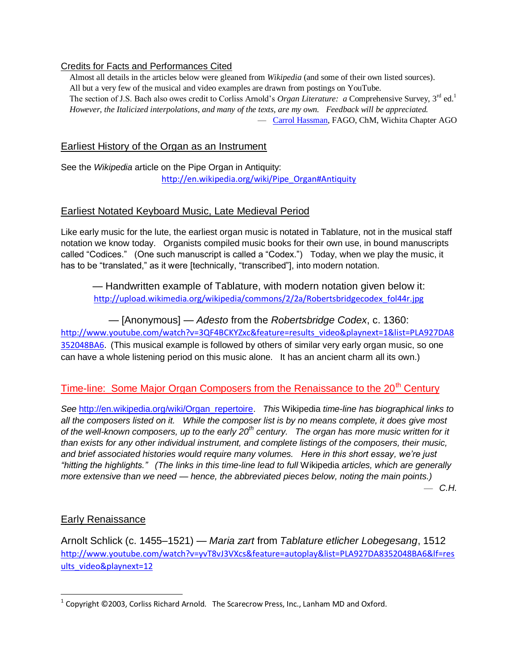#### Credits for Facts and Performances Cited

 Almost all details in the articles below were gleaned from *Wikipedia* (and some of their own listed sources). All but a very few of the musical and video examples are drawn from postings on YouTube. The section of J.S. Bach also owes credit to Corliss Arnold's *Organ Literature: a* Comprehensive Survey, 3<sup>rd</sup> ed.<sup>1</sup> *However, the Italicized interpolations, and many of the texts, are my own. Feedback will be appreciated.* — [Carrol Hassman,](mailto:chas4345@cox.net) FAGO, ChM, Wichita Chapter AGO

## Earliest History of the Organ as an Instrument

See the *Wikipedia* article on the Pipe Organ in Antiquity: [http://en.wikipedia.org/wiki/Pipe\\_Organ#Antiquity](http://en.wikipedia.org/wiki/Pipe_Organ#Antiquity)

## Earliest Notated Keyboard Music, Late Medieval Period

Like early music for the lute, the earliest organ music is notated in Tablature, not in the musical staff notation we know today. Organists compiled music books for their own use, in bound manuscripts called "Codices." (One such manuscript is called a "Codex.") Today, when we play the music, it has to be "translated," as it were [technically, "transcribed"], into modern notation.

— Handwritten example of Tablature, with modern notation given below it: [http://upload.wikimedia.org/wikipedia/commons/2/2a/Robertsbridgecodex\\_fol44r.jpg](http://upload.wikimedia.org/wikipedia/commons/2/2a/Robertsbridgecodex_fol44r.jpg)

— [Anonymous] *— Adesto* from the *Robertsbridge Codex*, c. 1360: [http://www.youtube.com/watch?v=3QF4BCKYZxc&feature=results\\_video&playnext=1&list=PLA927DA8](http://www.youtube.com/watch?v=3QF4BCKYZxc&feature=results_video&playnext=1&list=PLA927DA8352048BA6) [352048BA6.](http://www.youtube.com/watch?v=3QF4BCKYZxc&feature=results_video&playnext=1&list=PLA927DA8352048BA6) (This musical example is followed by others of similar very early organ music, so one can have a whole listening period on this music alone. It has an ancient charm all its own.)

## Time-line: Some Major Organ Composers from the Renaissance to the 20<sup>th</sup> Century

*See* [http://en.wikipedia.org/wiki/Organ\\_repertoire.](http://en.wikipedia.org/wiki/Organ_repertoire) *This* Wikipedia *time-line has biographical links to all the composers listed on it. While the composer list is by no means complete, it does give most of the well-known composers, up to the early 20th century. The organ has more music written for it than exists for any other individual instrument, and complete listings of the composers, their music, and brief associated histories would require many volumes. Here in this short essay, we're just ―hitting the highlights.‖ (The links in this time-line lead to full* Wikipedia *articles, which are generally more extensive than we need — hence, the abbreviated pieces below, noting the main points.)* — *C.H.*

### Early Renaissance

<span id="page-1-0"></span>Arnolt Schlick (c. 1455–1521) — *Maria zart* from *Tablature etlicher Lobegesang*, 1512 [http://www.youtube.com/watch?v=yvT8vJ3VXcs&feature=autoplay&list=PLA927DA8352048BA6&lf=res](http://www.youtube.com/watch?v=yvT8vJ3VXcs&feature=autoplay&list=PLA927DA8352048BA6&lf=results_video&playnext=12) [ults\\_video&playnext=12](http://www.youtube.com/watch?v=yvT8vJ3VXcs&feature=autoplay&list=PLA927DA8352048BA6&lf=results_video&playnext=12)

 $\overline{\phantom{a}}$  $^1$  Copyright ©2003, Corliss Richard Arnold. The Scarecrow Press, Inc., Lanham MD and Oxford.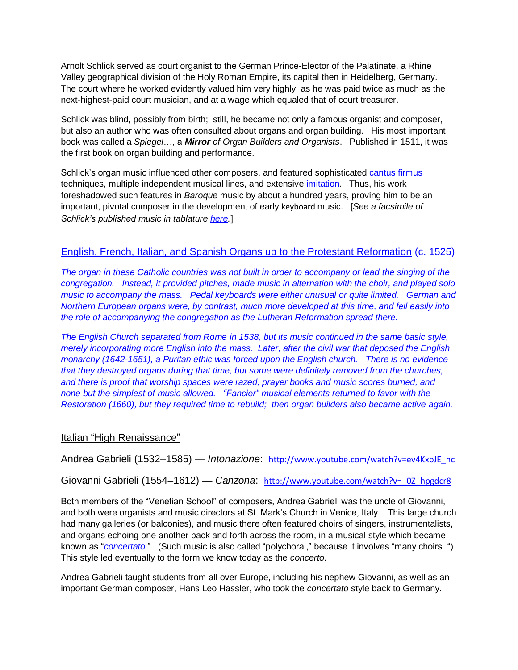Arnolt Schlick served as court organist to the German Prince-Elector of the Palatinate, a Rhine Valley geographical division of the Holy Roman Empire, its capital then in Heidelberg, Germany. The court where he worked evidently valued him very highly, as he was paid twice as much as the next-highest-paid court musician, and at a wage which equaled that of court treasurer.

Schlick was blind, possibly from birth; still, he became not only a famous organist and composer, but also an author who was often consulted about organs and organ building. His most important book was called a *Spiegel*…, a *Mirror of Organ Builders and Organists*. Published in 1511, it was the first book on organ building and performance.

Schlick's organ music influenced other composers, and featured sophisticated [cantus firmus](http://en.wikipedia.org/wiki/Cantus_firmus) techniques, multiple independent musical lines, and extensive [imitation.](http://en.wikipedia.org/wiki/Imitation_(music)) Thus, his work foreshadowed such features in *[Baroque](http://en.wikipedia.org/wiki/Baroque_music)* music by about a hundred years, proving him to be an important, pivotal composer in the development of early [keyboard](http://en.wikipedia.org/wiki/Keyboard_instrument) music. [*See a facsimile of Schlick's published music in tablature [here.](http://en.wikipedia.org/wiki/File:Schlick-salve-facsimile.png)*]

#### English, French, Italian, and Spanish Organs up to the Protestant Reformation (c. 1525)

*The organ in these Catholic countries was not built in order to accompany or lead the singing of the congregation. Instead, it provided pitches, made music in alternation with the choir, and played solo music to accompany the mass. Pedal keyboards were either unusual or quite limited. German and Northern European organs were, by contrast, much more developed at this time, and fell easily into the role of accompanying the congregation as the Lutheran Reformation spread there.*

*The English Church separated from Rome in 1538, but its music continued in the same basic style, merely incorporating more English into the mass. Later, after the civil war that deposed the English monarchy (1642-1651), a Puritan ethic was forced upon the English church. There is no evidence that they destroyed organs during that time, but some were definitely removed from the churches, and there is proof that worship spaces were razed, prayer books and music scores burned, and none but the simplest of music allowed. ―Fancier‖ musical elements returned to favor with the Restoration (1660), but they required time to rebuild; then organ builders also became active again.*

#### Italian "High Renaissance"

<span id="page-2-0"></span>Andrea Gabrieli (1532–1585) — *Intonazione*: [http://www.youtube.com/watch?v=ev4KxbJE\\_hc](http://www.youtube.com/watch?v=ev4KxbJE_hc)

Giovanni Gabrieli (1554–1612) — *Canzona*: [http://www.youtube.com/watch?v=\\_0Z\\_hpgdcr8](http://www.youtube.com/watch?v=_0Z_hpgdcr8)

Both members of the "Venetian School" of composers, Andrea Gabrieli was the uncle of Giovanni, and both were organists and music directors at St. Mark's Church in Venice, Italy. This large church had many galleries (or balconies), and music there often featured choirs of singers, instrumentalists, and organs echoing one another back and forth across the room, in a musical style which became known as "*[concertato](http://www.britannica.com/EBchecked/topic/131065/concertato-style).*" (Such music is also called "polychoral," because it involves "many choirs. ") This style led eventually to the form we know today as the *concerto*.

Andrea Gabrieli taught students from all over Europe, including his nephew Giovanni, as well as an important German composer, Hans Leo Hassler, who took the *concertato* style back to Germany.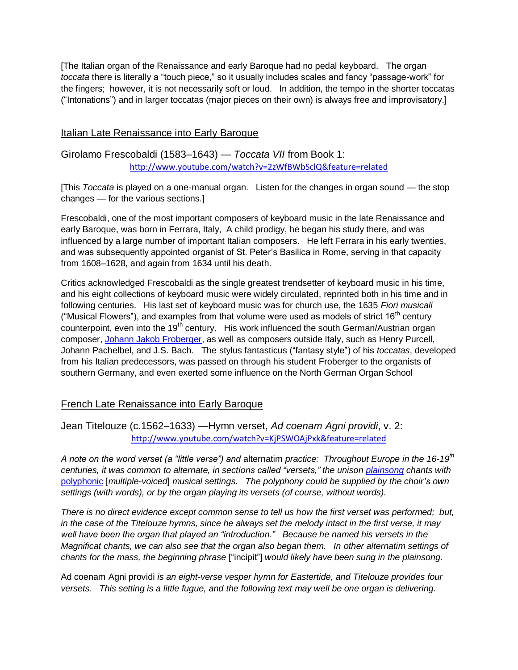[The Italian organ of the Renaissance and early Baroque had no pedal keyboard. The organ *toccata* there is literally a "touch piece," so it usually includes scales and fancy "passage-work" for the fingers; however, it is not necessarily soft or loud. In addition, the tempo in the shorter toccatas ("Intonations") and in larger toccatas (major pieces on their own) is always free and improvisatory.]

#### Italian Late Renaissance into Early Baroque

<span id="page-3-0"></span>Girolamo Frescobaldi (1583–1643) — *Toccata VII* from Book 1: <http://www.youtube.com/watch?v=2zWfBWbSclQ&feature=related>

[This *Toccata* is played on a one-manual organ. Listen for the changes in organ sound — the stop changes — for the various sections.]

Frescobaldi, one of the most important composers of keyboard music in the late Renaissance and early Baroque, was born in Ferrara, Italy, A child prodigy, he began his study there, and was influenced by a large number of important Italian composers. He left Ferrara in his early twenties, and was subsequently appointed organist of St. Peter's Basilica in Rome, serving in that capacity from 1608–1628, and again from 1634 until his death.

Critics acknowledged Frescobaldi as the single greatest trendsetter of keyboard music in his time, and his eight collections of keyboard music were widely circulated, reprinted both in his time and in following centuries. His last set of keyboard music was for church use, the 1635 *Fiori musicali* ("Musical Flowers"), and examples from that volume were used as models of strict 16<sup>th</sup> century counterpoint, even into the 19<sup>th</sup> century. His work influenced the south German/Austrian organ composer, [Johann Jakob Froberger,](http://en.wikipedia.org/wiki/Johann_Jakob_Froberger) as well as composers outside Italy, such as Henry Purcell, Johann Pachelbel, and J.S. Bach. The stylus fantasticus ("fantasy style") of his *toccatas*, developed from his Italian predecessors, was passed on through his student Froberger to the organists of southern Germany, and even exerted some influence on the North German Organ School

#### French Late Renaissance into Early Baroque

<span id="page-3-1"></span>Jean Titelouze (c.1562–1633) —Hymn verset, *Ad coenam Agni providi*, v. 2: <http://www.youtube.com/watch?v=KjPSWOAjPxk&feature=related>

*A note on the word verset (a "little verse") and alternatim practice: Throughout Europe in the 16-19<sup><i>th*</sup> *centuries, it was common to alternate, in sections called ―versets,‖ the unison [plainsong](http://en.wikipedia.org/wiki/Plainsong) chants with*  [polyphonic](http://en.wikipedia.org/wiki/Polyphonic) [*multiple-voiced*] *musical settings. The polyphony could be supplied by the choir's own settings (with words), or by the organ playing its versets (of course, without words).*

*There is no direct evidence except common sense to tell us how the first verset was performed; but, in the case of the Titelouze hymns, since he always set the melody intact in the first verse, it may*  well have been the organ that played an "introduction." Because he named his versets in the *Magnificat chants, we can also see that the organ also began them. In other alternatim settings of chants for the mass, the beginning phrase* [―incipit‖] *would likely have been sung in the plainsong.*

Ad coenam Agni providi *is an eight-verse vesper hymn for Eastertide, and Titelouze provides four versets. This setting is a little fugue, and the following text may well be one organ is delivering.*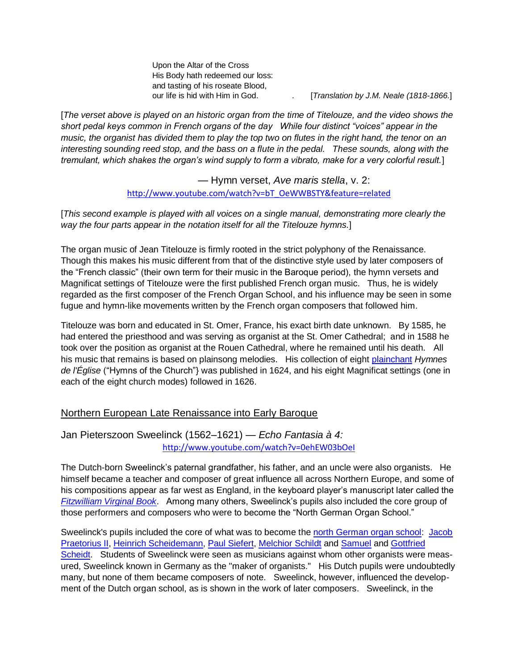Upon the Altar of the Cross His Body hath redeemed our loss: and tasting of his roseate Blood,

our life is hid with Him in God. [*Translation by J.M. Neale (1818-1866.*]

[*The verset above is played on an historic organ from the time of Titelouze, and the video shows the*  short pedal keys common in French organs of the day While four distinct "voices" appear in the *music, the organist has divided them to play the top two on flutes in the right hand, the tenor on an interesting sounding reed stop, and the bass on a flute in the pedal. These sounds, along with the tremulant, which shakes the organ's wind supply to form a vibrato, make for a very colorful result.*]

> — Hymn verset, *Ave maris stella*, v. 2: [http://www.youtube.com/watch?v=bT\\_OeWWBSTY&feature=related](http://www.youtube.com/watch?v=bT_OeWWBSTY&feature=related)

[*This second example is played with all voices on a single manual, demonstrating more clearly the way the four parts appear in the notation itself for all the Titelouze hymns.*]

The organ music of Jean Titelouze is firmly rooted in the strict polyphony of the Renaissance. Though this makes his music different from that of the distinctive style used by later composers of the "French classic" (their own term for their music in the Baroque period), the hymn versets and Magnificat settings of Titelouze were the first published French organ music. Thus, he is widely regarded as the first composer of the French Organ School, and his influence may be seen in some fugue and hymn-like movements written by the French organ composers that followed him.

Titelouze was born and educated in St. Omer, France, his exact birth date unknown. By 1585, he had entered the priesthood and was serving as organist at the St. Omer Cathedral; and in 1588 he took over the position as organist at the Rouen Cathedral, where he remained until his death. All his music that remains is based on plainsong melodies. His collection of eight [plainchant](http://en.wikipedia.org/wiki/Plainsong) *Hymnes*  de *l'Église* ("Hymns of the Church") was published in 1624, and his eight Magnificat settings (one in each of the eight church modes) followed in 1626.

#### Northern European Late Renaissance into Early Baroque

### <span id="page-4-0"></span>Jan Pieterszoon Sweelinck (1562–1621) — *Echo Fantasia à 4:* <http://www.youtube.com/watch?v=0ehEW03bOeI>

The Dutch-born Sweelinck's paternal grandfather, his father, and an uncle were also organists. He himself became a teacher and composer of great influence all across Northern Europe, and some of his compositions appear as far west as England, in the keyboard player's manuscript later called the *[Fitzwilliam Virginal Book](http://en.wikipedia.org/wiki/Fitzwilliam_Virginal_Book)*. Among many others, Sweelinck's pupils also included the core group of those performers and composers who were to become the "North German Organ School."

Sweelinck's pupils included the core of what was to become the [north German organ school:](http://en.wikipedia.org/wiki/German_organ_schools) [Jacob](http://en.wikipedia.org/wiki/Jacob_Praetorius_II)  [Praetorius II,](http://en.wikipedia.org/wiki/Jacob_Praetorius_II) [Heinrich Scheidemann,](http://en.wikipedia.org/wiki/Heinrich_Scheidemann) [Paul Siefert,](http://en.wikipedia.org/wiki/Paul_Siefert) [Melchior Schildt](http://en.wikipedia.org/wiki/Melchior_Schildt) and [Samuel](http://en.wikipedia.org/wiki/Samuel_Scheidt) and [Gottfried](http://en.wikipedia.org/wiki/Gottfried_Scheidt)  [Scheidt.](http://en.wikipedia.org/wiki/Gottfried_Scheidt) Students of Sweelinck were seen as musicians against whom other organists were measured, Sweelinck known in Germany as the "maker of organists." His Dutch pupils were undoubtedly many, but none of them became composers of note. Sweelinck, however, influenced the development of the Dutch organ school, as is shown in the work of later composers. Sweelinck, in the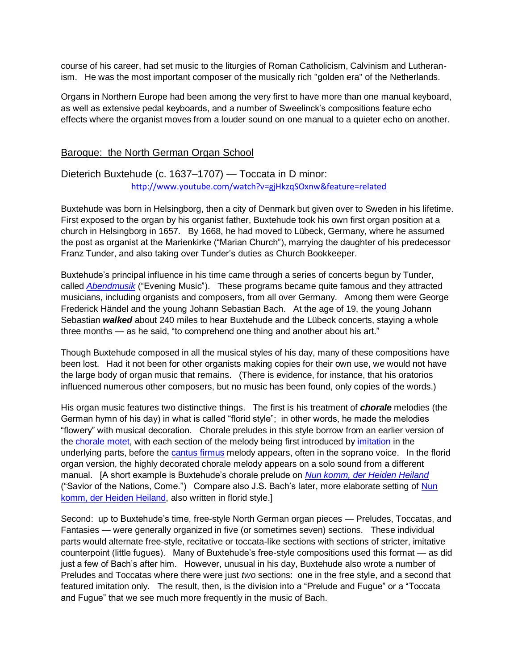course of his career, had set music to the liturgies of Roman Catholicism, Calvinism and Lutheranism. He was the most important composer of the musically rich "golden era" of the Netherlands.

Organs in Northern Europe had been among the very first to have more than one manual keyboard, as well as extensive pedal keyboards, and a number of Sweelinck's compositions feature echo effects where the organist moves from a louder sound on one manual to a quieter echo on another.

#### Baroque: the North German Organ School

### <span id="page-5-0"></span>Dieterich Buxtehude (c. 1637–1707) — Toccata in D minor: <http://www.youtube.com/watch?v=gjHkzqSOxnw&feature=related>

Buxtehude was born in Helsingborg, then a city of Denmark but given over to Sweden in his lifetime. First exposed to the organ by his organist father, Buxtehude took his own first organ position at a church in Helsingborg in 1657. By 1668, he had moved to Lübeck, Germany, where he assumed the post as organist at the Marienkirke ("Marian Church"), marrying the daughter of his predecessor Franz Tunder, and also taking over Tunder's duties as Church Bookkeeper.

Buxtehude's principal influence in his time came through a series of concerts begun by Tunder, called *[Abendmusik](http://en.wikipedia.org/wiki/Abendmusik)* ("Evening Music"). These programs became quite famous and they attracted musicians, including organists and composers, from all over Germany. Among them were George Frederick Händel and the young Johann Sebastian Bach. At the age of 19, the young Johann Sebastian *walked* about 240 miles to hear Buxtehude and the Lübeck concerts, staying a whole three months — as he said, "to comprehend one thing and another about his art."

Though Buxtehude composed in all the musical styles of his day, many of these compositions have been lost. Had it not been for other organists making copies for their own use, we would not have the large body of organ music that remains. (There is evidence, for instance, that his oratorios influenced numerous other composers, but no music has been found, only copies of the words.)

His organ music features two distinctive things. The first is his treatment of *chorale* melodies (the German hymn of his day) in what is called "florid style"; in other words, he made the melodies ―flowery‖ with musical decoration. Chorale preludes in this style borrow from an earlier version of the [chorale motet,](http://en.wikipedia.org/wiki/Chorale_motet) with each section of the melody being first introduced by [imitation](http://en.wikipedia.org/wiki/Imitation_(music)) in the underlying parts, before the [cantus firmus](http://en.wikipedia.org/wiki/Cantus_firmus) melody appears, often in the soprano voice. In the florid organ version, the highly decorated chorale melody appears on a solo sound from a different manual. [A short example is Buxtehude's chorale prelude on *[Nun komm, der Heiden Heiland](http://www.youtube.com/watch?v=UqM75XJwKG8)* ("Savior of the Nations, Come.") Compare also J.S. Bach's later, more elaborate setting of Nun [komm, der Heiden Heiland,](http://www.youtube.com/watch?v=R6piOhwgopg&feature=related) also written in florid style.]

Second: up to Buxtehude's time, free-style North German organ pieces — Preludes, Toccatas, and Fantasies — were generally organized in five (or sometimes seven) sections. These individual parts would alternate free-style, recitative or toccata-like sections with sections of stricter, imitative counterpoint (little fugues). Many of Buxtehude's free-style compositions used this format — as did just a few of Bach's after him. However, unusual in his day, Buxtehude also wrote a number of Preludes and Toccatas where there were just *two* sections: one in the free style, and a second that featured imitation only. The result, then, is the division into a "Prelude and Fugue" or a "Toccata and Fugue" that we see much more frequently in the music of Bach.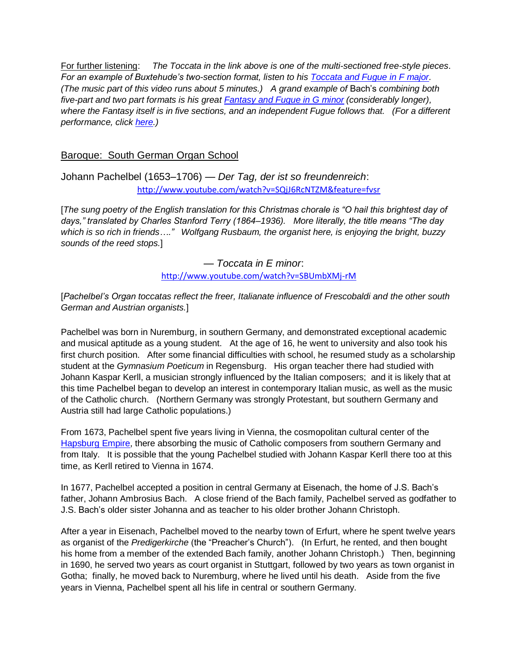For further listening: *The Toccata in the link above is one of the multi-sectioned free-style pieces*. *For an example of Buxtehude's two-section format, listen to his [Toccata and Fugue in F major.](http://www.youtube.com/watch?v=rK6cQLBbmZ4) (The music part of this video runs about 5 minutes.) A grand example of* Bach's *combining both five-part and two part formats is his great [Fantasy and Fugue in G minor](http://www.youtube.com/watch?v=g6Kul3JzKI0&feature=related) (considerably longer), where the Fantasy itself is in five sections, and an independent Fugue follows that. (For a different performance, click [here.](http://www.youtube.com/watch?v=JxNR5D8TAMI))*

## Baroque: South German Organ School

<span id="page-6-0"></span>Johann Pachelbel (1653–1706) — *Der Tag, der ist so freundenreich*: <http://www.youtube.com/watch?v=SQjJ6RcNTZM&feature=fvsr>

[*The sung poetry of the English translation for this Christmas chorale is ―O hail this brightest day of*  days," translated by Charles Stanford Terry (1864–1936). More literally, the title means "The day *which is so rich in friends….‖ Wolfgang Rusbaum, the organist here, is enjoying the bright, buzzy sounds of the reed stops.*]

> *— Toccata in E minor*: <http://www.youtube.com/watch?v=SBUmbXMj-rM>

[*Pachelbel's Organ toccatas reflect the freer, Italianate influence of Frescobaldi and the other south German and Austrian organists.*]

Pachelbel was born in Nuremburg, in southern Germany, and demonstrated exceptional academic and musical aptitude as a young student. At the age of 16, he went to university and also took his first church position. After some financial difficulties with school, he resumed study as a scholarship student at the *Gymnasium Poeticum* in Regensburg. His organ teacher there had studied with Johann Kaspar Kerll, a musician strongly influenced by the Italian composers; and it is likely that at this time Pachelbel began to develop an interest in contemporary Italian music, as well as the music of the Catholic church. (Northern Germany was strongly Protestant, but southern Germany and Austria still had large Catholic populations.)

From 1673, Pachelbel spent five years living in Vienna, the cosmopolitan cultural center of the [Hapsburg Empire,](http://en.wikipedia.org/wiki/Hapsburg_Empire) there absorbing the music of Catholic composers from southern Germany and from Italy. It is possible that the young Pachelbel studied with Johann Kaspar Kerll there too at this time, as Kerll retired to Vienna in 1674.

In 1677, Pachelbel accepted a position in central Germany at Eisenach, the home of J.S. Bach's father, Johann Ambrosius Bach. A close friend of the Bach family, Pachelbel served as godfather to J.S. Bach's older sister Johanna and as teacher to his older brother Johann Christoph.

After a year in Eisenach, Pachelbel moved to the nearby town of Erfurt, where he spent twelve years as organist of the *Predigerkirche* (the "Preacher's Church"). (In Erfurt, he rented, and then bought his home from a member of the extended Bach family, another Johann Christoph.) Then, beginning in 1690, he served two years as court organist in Stuttgart, followed by two years as town organist in Gotha; finally, he moved back to Nuremburg, where he lived until his death. Aside from the five years in Vienna, Pachelbel spent all his life in central or southern Germany.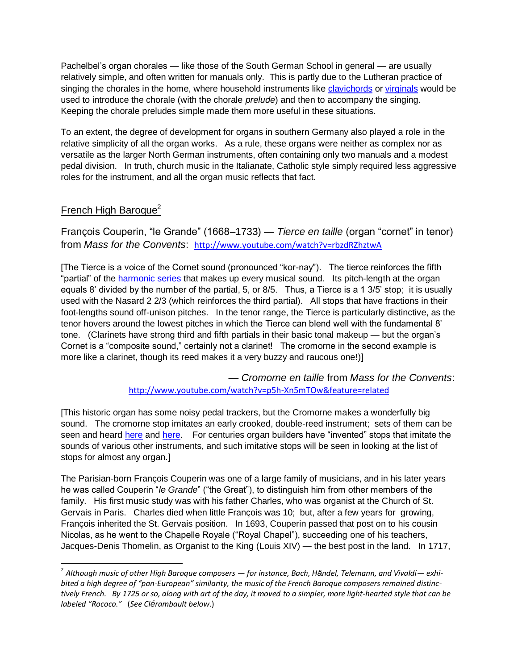Pachelbel's organ chorales — like those of the South German School in general — are usually relatively simple, and often written for manuals only. This is partly due to the Lutheran practice of singing the chorales in the home, where household instruments like [clavichords](http://en.wikipedia.org/wiki/Clavichord) or [virginals](http://en.wikipedia.org/wiki/Virginal) would be used to introduce the chorale (with the chorale *prelude*) and then to accompany the singing. Keeping the chorale preludes simple made them more useful in these situations.

To an extent, the degree of development for organs in southern Germany also played a role in the relative simplicity of all the organ works. As a rule, these organs were neither as complex nor as versatile as the larger North German instruments, often containing only two manuals and a modest pedal division. In truth, church music in the Italianate, Catholic style simply required less aggressive roles for the instrument, and all the organ music reflects that fact.

## French High Baroque<sup>2</sup>

 $\overline{\phantom{a}}$ 

<span id="page-7-0"></span>François Couperin, "le Grande" (1668–1733) — *Tierce en taille* (organ "cornet" in tenor) from *Mass for the Convents*: <http://www.youtube.com/watch?v=rbzdRZhztwA>

[The Tierce is a voice of the Cornet sound (pronounced "kor-nay"). The tierce reinforces the fifth "partial" of the [harmonic series](http://en.wikipedia.org/wiki/Harmonic_series_(music)) that makes up every musical sound. Its pitch-length at the organ equals 8' divided by the number of the partial, 5, or 8/5. Thus, a Tierce is a 1 3/5' stop; it is usually used with the Nasard 2 2/3 (which reinforces the third partial). All stops that have fractions in their foot-lengths sound off-unison pitches. In the tenor range, the Tierce is particularly distinctive, as the tenor hovers around the lowest pitches in which the Tierce can blend well with the fundamental 8' tone. (Clarinets have strong third and fifth partials in their basic tonal makeup — but the organ's Cornet is a "composite sound," certainly not a clarinet! The cromorne in the second example is more like a clarinet, though its reed makes it a very buzzy and raucous one!)]

> — *Cromorne en taille* from *Mass for the Convents*: <http://www.youtube.com/watch?v=p5h-Xn5mTOw&feature=related>

[This historic organ has some noisy pedal trackers, but the Cromorne makes a wonderfully big sound. The cromorne stop imitates an early crooked, double-reed instrument; sets of them can be seen and heard [here](http://www.youtube.com/watch?v=UI30-9TsafQ&feature=fvwp&NR=1) and [here.](http://www.youtube.com/watch?v=0uKBsfker6E&feature=related) For centuries organ builders have "invented" stops that imitate the sounds of various other instruments, and such imitative stops will be seen in looking at the list of stops for almost any organ.]

The Parisian-born François Couperin was one of a large family of musicians, and in his later years he was called Couperin "*le Grande*" ("the Great"), to distinguish him from other members of the family. His first music study was with his father Charles, who was organist at the Church of St. Gervais in Paris. Charles died when little François was 10; but, after a few years for growing, François inherited the St. Gervais position. In 1693, Couperin passed that post on to his cousin Nicolas, as he went to the Chapelle Royale ("Royal Chapel"), succeeding one of his teachers, Jacques-Denis Thomelin, as Organist to the King (Louis XIV) — the best post in the land. In 1717,

<sup>2</sup> *Although music of other High Baroque composers — for instance, Bach, Händel, Telemann, and Vivaldi— exhibited a high degree of "pan-European" similarity, the music of the French Baroque composers remained distinctively French. By 1725 or so, along with art of the day, it moved to a simpler, more light-hearted style that can be labeled "Rococo."* (*See Clérambault below*.)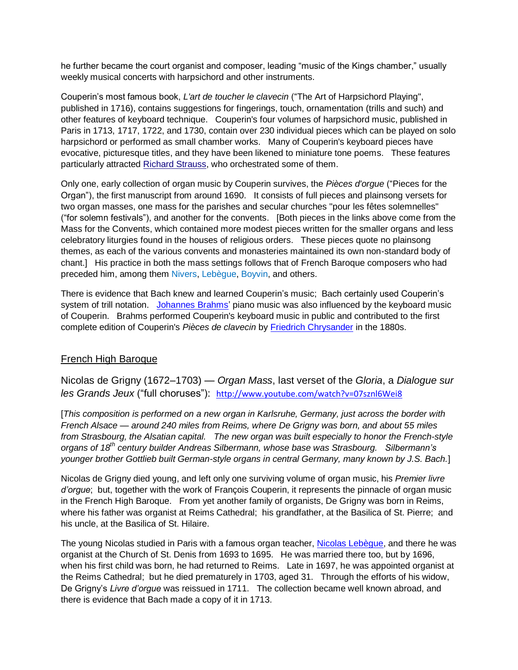he further became the court organist and composer, leading "music of the Kings chamber," usually weekly musical concerts with harpsichord and other instruments.

Couperin's most famous book, *[L'art de toucher le clavecin](http://en.wikipedia.org/wiki/L%27art_de_toucher_le_clavecin)* ("The Art of Harpsichord Playing", published in 1716), contains suggestions for fingerings, touch, ornamentation (trills and such) and other features of [keyboard](http://en.wikipedia.org/wiki/Keyboard_instrument) technique. Couperin's four volumes of harpsichord music, published in Paris in 1713, 1717, 1722, and 1730, contain over 230 individual pieces which can be played on solo harpsichord or performed as small chamber works. Many of Couperin's keyboard pieces have evocative, picturesque titles, and they have been likened to miniature tone poems. These features particularly attracted [Richard Strauss,](http://en.wikipedia.org/wiki/Richard_Strauss) who orchestrated some of them.

Only one, early collection of organ music by Couperin survives, the *Pièces d'orgue* ("Pieces for the Organ"), the first manuscript from around 1690. It consists of full pieces and plainsong versets for two organ masses, one mass for the parishes and secular churches "pour les fêtes solemnelles" (―for solemn festivals‖), and another for the convents. [Both pieces in the links above come from the Mass for the Convents, which contained more modest pieces written for the smaller organs and less celebratory liturgies found in the houses of religious orders. These pieces quote no plainsong themes, as each of the various convents and monasteries maintained its own non-standard body of chant.] His practice in both the mass settings follows that of French Baroque composers who had preceded him, among them [Nivers,](http://en.wikipedia.org/wiki/Guillaume-Gabriel_Nivers) [Lebègue,](http://en.wikipedia.org/wiki/Nicolas_Leb%C3%A8gue) [Boyvin,](http://en.wikipedia.org/wiki/Jacques_Boyvin) and others.

There is evidence that Bach knew and learned Couperin's music; Bach certainly used Couperin's system of trill notation. [Johannes Brahms'](http://en.wikipedia.org/wiki/Johannes_Brahms) piano music was also influenced by the keyboard music of Couperin. Brahms performed Couperin's keyboard music in public and contributed to the first complete edition of Couperin's *Pièces de clavecin* by [Friedrich Chrysander](http://en.wikipedia.org/wiki/Friedrich_Chrysander) in the 1880s.

### French High Baroque

<span id="page-8-0"></span>Nicolas de Grigny (1672–1703) — *Organ Mass*, last verset of the *Gloria*, a *Dialogue sur les Grands Jeux* ("full choruses") <http://www.youtube.com/watch?v=07sznl6Wei8>

[*This composition is performed on a new organ in Karlsruhe, Germany, just across the border with French Alsace — around 240 miles from Reims, where De Grigny was born, and about 55 miles from Strasbourg, the Alsatian capital. The new organ was built especially to honor the French-style organs of 18th century builder Andreas Silbermann, whose base was Strasbourg. Silbermann's younger brother Gottlieb built German-style organs in central Germany, many known by J.S. Bach.*]

Nicolas de Grigny died young, and left only one surviving volume of organ music, his *Premier livre d'orgue*; but, together with the work of François Couperin, it represents the pinnacle of organ music in the French High Baroque. From yet another family of organists, De Grigny was born in Reims, where his father was organist at Reims Cathedral; his grandfather, at the Basilica of St. Pierre; and his uncle, at the Basilica of St. Hilaire.

The young Nicolas studied in Paris with a famous organ teacher, [Nicolas Lebègue,](http://en.wikipedia.org/wiki/Nicolas_Leb%C3%A8gue) and there he was organist at the Church of St. Denis from 1693 to 1695. He was married there too, but by 1696, when his first child was born, he had returned to Reims. Late in 1697, he was appointed organist at the Reims Cathedral; but he died prematurely in 1703, aged 31. Through the efforts of his widow, De Grigny's *Livre d'orgue* was reissued in 1711. The collection became well known abroad, and there is evidence that Bach made a copy of it in 1713.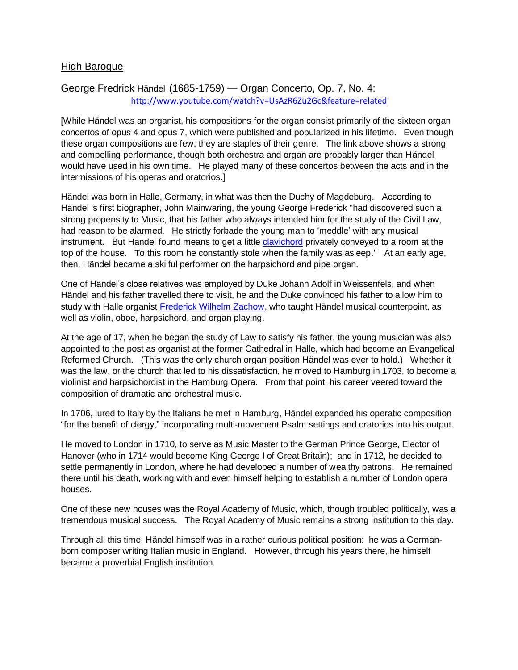#### High Baroque

## <span id="page-9-0"></span>George Fredrick Händel (1685-1759) — Organ Concerto, Op. 7, No. 4: <http://www.youtube.com/watch?v=UsAzR6Zu2Gc&feature=related>

[While Hăndel was an organist, his compositions for the organ consist primarily of the sixteen organ concertos of opus 4 and opus 7, which were published and popularized in his lifetime. Even though these organ compositions are few, they are staples of their genre. The link above shows a strong and compelling performance, though both orchestra and organ are probably larger than Hăndel would have used in his own time. He played many of these concertos between the acts and in the intermissions of his operas and oratorios.]

Händel was born in Halle, Germany, in what was then the Duchy of Magdeburg. According to Händel 's first biographer, John Mainwaring, the young George Frederick "had discovered such a strong propensity to Music, that his father who always intended him for the study of the Civil Law, had reason to be alarmed. He strictly forbade the young man to 'meddle' with any musical instrument. But Händel found means to get a little **[clavichord](http://en.wikipedia.org/wiki/Clavichord)** privately conveyed to a room at the top of the house. To this room he constantly stole when the family was asleep." At an early age, then, Händel became a skilful performer on the harpsichord and pipe organ.

One of Händel's close relatives was employed by Duke Johann Adolf in Weissenfels, and when Händel and his father travelled there to visit, he and the Duke convinced his father to allow him to study with Halle organist [Frederick Wilhelm Zachow,](http://en.wikipedia.org/wiki/Friedrich_Wilhelm_Zachow) who taught Händel musical counterpoint, as well as violin, oboe, harpsichord, and organ playing.

At the age of 17, when he began the study of Law to satisfy his father, the young musician was also appointed to the post as organist at the former Cathedral in Halle, which had become an Evangelical Reformed Church. (This was the only church organ position Händel was ever to hold.) Whether it was the law, or the church that led to his dissatisfaction, he moved to Hamburg in 1703, to become a violinist and harpsichordist in the Hamburg Opera. From that point, his career veered toward the composition of dramatic and orchestral music.

In 1706, lured to Italy by the Italians he met in Hamburg, Händel expanded his operatic composition ―for the benefit of clergy,‖ incorporating multi-movement Psalm settings and oratorios into his output.

He moved to London in 1710, to serve as Music Master to the German Prince George, Elector of Hanover (who in 1714 would become King George I of Great Britain); and in 1712, he decided to settle permanently in London, where he had developed a number of wealthy patrons. He remained there until his death, working with and even himself helping to establish a number of London opera houses.

One of these new houses was the Royal Academy of Music, which, though troubled politically, was a tremendous musical success. The Royal Academy of Music remains a strong institution to this day.

Through all this time, Händel himself was in a rather curious political position: he was a Germanborn composer writing Italian music in England. However, through his years there, he himself became a proverbial English institution.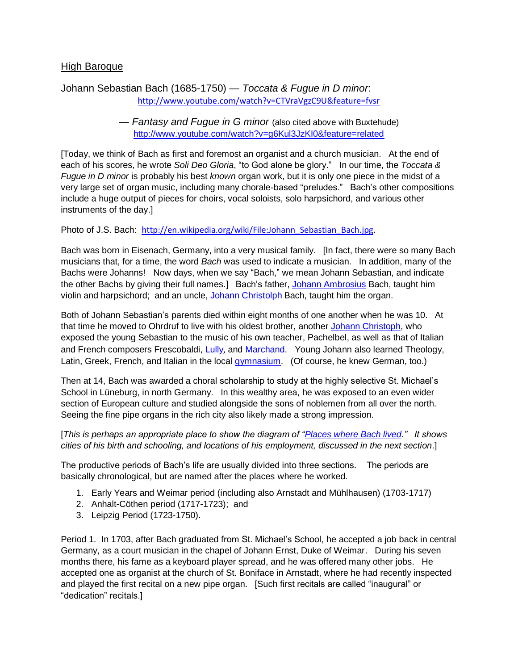### High Baroque

## <span id="page-10-0"></span>Johann Sebastian Bach (1685-1750) — *Toccata & Fugue in D minor*: <http://www.youtube.com/watch?v=CTVraVgzC9U&feature=fvsr>

— *Fantasy and Fugue in G minor* (also cited above with Buxtehude) <http://www.youtube.com/watch?v=g6Kul3JzKI0&feature=related>

[Today, we think of Bach as first and foremost an organist and a church musician. At the end of each of his scores, he wrote Soli Deo Gloria, "to God alone be glory." In our time, the *Toccata & Fugue in D minor* is probably his best *known* organ work, but it is only one piece in the midst of a very large set of organ music, including many chorale-based "preludes." Bach's other compositions include a huge output of pieces for choirs, vocal soloists, solo harpsichord, and various other instruments of the day.]

Photo of J.S. Bach: [http://en.wikipedia.org/wiki/File:Johann\\_Sebastian\\_Bach.jpg.](http://en.wikipedia.org/wiki/File:Johann_Sebastian_Bach.jpg)

Bach was born in Eisenach, Germany, into a very musical family. [In fact, there were so many Bach musicians that, for a time, the word *Bach* was used to indicate a musician. In addition, many of the Bachs were Johanns! Now days, when we say "Bach," we mean Johann Sebastian, and indicate the other Bachs by giving their full names.] Bach's father, [Johann Ambrosius](http://en.wikipedia.org/wiki/Johann_Ambrosius_Bach) Bach, taught him violin and harpsichord; and an uncle, [Johann Christolph](http://en.wikipedia.org/wiki/Johann_Christoph_Bach_(1645%E2%80%9393)) Bach, taught him the organ.

Both of Johann Sebastian's parents died within eight months of one another when he was 10. At that time he moved to Ohrdruf to live with his oldest brother, another [Johann Christoph,](http://en.wikipedia.org/wiki/Johann_Christoph_Bach_(1671%E2%80%931721)) who exposed the young Sebastian to the music of his own teacher, Pachelbel, as well as that of Italian and French composers Frescobaldi, [Lully](http://en.wikipedia.org/wiki/Jean-Baptiste_Lully), and [Marchand.](http://en.wikipedia.org/wiki/Louis_Marchand) Young Johann also learned Theology, Latin, Greek, French, and Italian in the local [gymnasium.](http://en.wikipedia.org/wiki/Gymnasium_(school)) (Of course, he knew German, too.)

Then at 14, Bach was awarded a choral scholarship to study at the highly selective St. Michael's School in Lüneburg, in north Germany. In this wealthy area, he was exposed to an even wider section of European culture and studied alongside the sons of noblemen from all over the north. Seeing the fine pipe organs in the rich city also likely made a strong impression.

[*This is perhaps an appropriate place to show the diagram of "Places where Bach lived.*" It shows *cities of his birth and schooling, and locations of his employment, discussed in the next section*.]

The productive periods of Bach's life are usually divided into three sections. The periods are basically chronological, but are named after the places where he worked.

- 1. Early Years and Weimar period (including also Arnstadt and Mühlhausen) (1703-1717)
- 2. Anhalt-Cöthen period (1717-1723); and
- 3. Leipzig Period (1723-1750).

Period 1. In 1703, after Bach graduated from St. Michael's School, he accepted a job back in central Germany, as a court musician in the chapel of Johann Ernst, Duke of Weimar. During his seven months there, his fame as a keyboard player spread, and he was offered many other jobs. He accepted one as organist at the church of St. Boniface in Arnstadt, where he had recently inspected and played the first recital on a new pipe organ. [Such first recitals are called "inaugural" or "dedication" recitals.]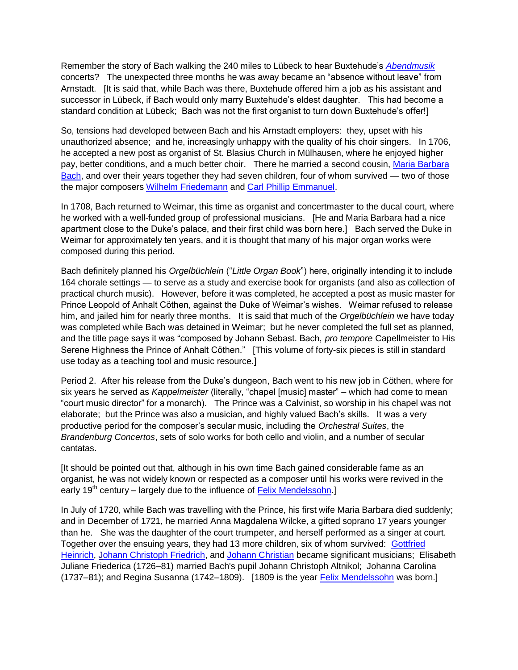Remember the story of Bach walking the 240 miles to Lübeck to hear Buxtehude's *[Abendmusik](http://en.wikipedia.org/wiki/Abendmusik)* concerts? The unexpected three months he was away became an "absence without leave" from Arnstadt. [It is said that, while Bach was there, Buxtehude offered him a job as his assistant and successor in Lübeck, if Bach would only marry Buxtehude's eldest daughter. This had become a standard condition at Lübeck; Bach was not the first organist to turn down Buxtehude's offer!]

So, tensions had developed between Bach and his Arnstadt employers: they, upset with his unauthorized absence; and he, increasingly unhappy with the quality of his choir singers. In 1706, he accepted a new post as organist of St. Blasius Church in Mülhausen, where he enjoyed higher pay, better conditions, and a much better choir. There he married a second cousin, [Maria Barbara](http://en.wikipedia.org/wiki/Maria_Barbara_Bach)  [Bach,](http://en.wikipedia.org/wiki/Maria_Barbara_Bach) and over their years together they had seven children, four of whom survived — two of those the major composers [Wilhelm Friedemann](http://en.wikipedia.org/wiki/Wilhelm_Friedemann_Bach) and [Carl Phillip Emmanuel.](http://en.wikipedia.org/wiki/Carl_Philipp_Emanuel_Bach)

In 1708, Bach returned to Weimar, this time as organist and concertmaster to the ducal court, where he worked with a well-funded group of professional musicians. [He and Maria Barbara had a nice apartment close to the Duke's palace, and their first child was born here.] Bach served the Duke in Weimar for approximately ten years, and it is thought that many of his major organ works were composed during this period.

Bach definitely planned his *Orgelbüchlein* ("Little Organ Book") here, originally intending it to include 164 chorale settings — to serve as a study and exercise book for organists (and also as collection of practical church music). However, before it was completed, he accepted a post as music master for Prince Leopold of Anhalt Cöthen, against the Duke of Weimar's wishes. Weimar refused to release him, and jailed him for nearly three months. It is said that much of the *Orgelbüchlein* we have today was completed while Bach was detained in Weimar; but he never completed the full set as planned, and the title page says it was "composed by Johann Sebast. Bach, *pro tempore* Capellmeister to His Serene Highness the Prince of Anhalt Cöthen." [This volume of forty-six pieces is still in standard use today as a teaching tool and music resource.]

Period 2. After his release from the Duke's dungeon, Bach went to his new job in Cöthen, where for six years he served as *Kappelmeister* (literally, "chapel [music] master" – which had come to mean ―court music director‖ for a monarch). The Prince was a Calvinist, so worship in his chapel was not elaborate; but the Prince was also a musician, and highly valued Bach's skills. It was a very productive period for the composer's secular music, including the *Orchestral Suites*, the *Brandenburg Concertos*, sets of solo works for both cello and violin, and a number of secular cantatas.

[It should be pointed out that, although in his own time Bach gained considerable fame as an organist, he was not widely known or respected as a composer until his works were revived in the early  $19<sup>th</sup>$  century – largely due to the influence of [Felix Mendelssohn.](http://en.wikipedia.org/wiki/Felix_Mendelssohn)]

In July of 1720, while Bach was travelling with the Prince, his first wife Maria Barbara died suddenly; and in December of 1721, he married Anna Magdalena Wilcke, a gifted soprano 17 years younger than he. She was the daughter of the court trumpeter, and herself performed as a singer at court. Together over the ensuing years, they had 13 more children, six of whom survived: Gottfried [Heinrich,](http://en.wikipedia.org/wiki/Gottfried_Heinrich_Bach) [Johann Christoph Friedrich,](http://en.wikipedia.org/wiki/Johann_Christoph_Friedrich_Bach) and [Johann Christian](http://en.wikipedia.org/wiki/Johann_Christian_Bach) became significant musicians; Elisabeth Juliane Friederica (1726–81) married Bach's pupil Johann Christoph Altnikol; Johanna Carolina (1737–81); and Regina Susanna (1742–1809). [1809 is the year [Felix Mendelssohn](http://en.wikipedia.org/wiki/Felix_Mendelssohn) was born.]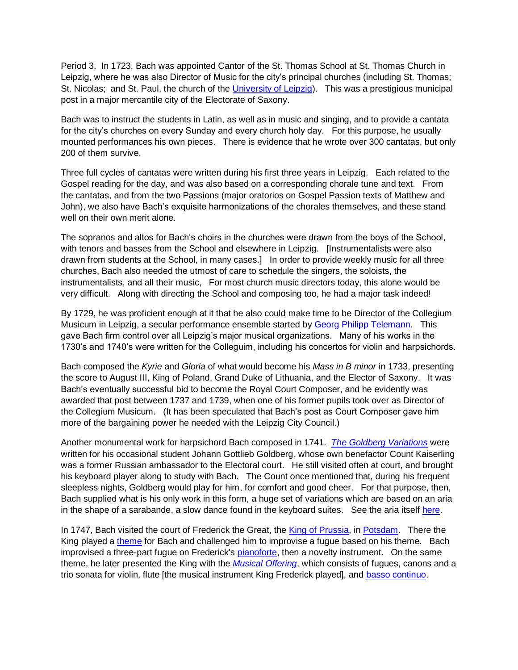Period 3. In 1723, Bach was appointed Cantor of the St. Thomas School at St. Thomas Church in Leipzig, where he was also Director of Music for the city's principal churches (including St. Thomas; St. Nicolas; and St. Paul, the church of the [University](http://en.wikipedia.org/wiki/University_of_Leipzig) of Leipzig). This was a prestigious municipal post in a major mercantile city of the Electorate of Saxony.

Bach was to instruct the students in Latin, as well as in music and singing, and to provide a cantata for the city's churches on every Sunday and every church holy day. For this purpose, he usually mounted performances his own pieces. There is evidence that he wrote over 300 cantatas, but only 200 of them survive.

Three full cycles of cantatas were written during his first three years in Leipzig. Each related to the Gospel reading for the day, and was also based on a corresponding chorale tune and text. From the cantatas, and from the two Passions (major oratorios on Gospel Passion texts of Matthew and John), we also have Bach's exquisite harmonizations of the chorales themselves, and these stand well on their own merit alone.

The sopranos and altos for Bach's choirs in the churches were drawn from the boys of the School, with tenors and basses from the School and elsewhere in Leipzig. [Instrumentalists were also drawn from students at the School, in many cases.] In order to provide weekly music for all three churches, Bach also needed the utmost of care to schedule the singers, the soloists, the instrumentalists, and all their music, For most church music directors today, this alone would be very difficult. Along with directing the School and composing too, he had a major task indeed!

By 1729, he was proficient enough at it that he also could make time to be Director of the Collegium Musicum in Leipzig, a secular performance ensemble started by [Georg Philipp Telemann.](http://en.wikipedia.org/wiki/Georg_Philipp_Telemann) This gave Bach firm control over all Leipzig's major musical organizations. Many of his works in the 1730's and 1740's were written for the Colleguim, including his concertos for violin and harpsichords.

Bach composed the *Kyrie* and *Gloria* of what would become his *Mass in B minor* in 1733, presenting the score to August III, King of Poland, Grand Duke of Lithuania, and the Elector of Saxony. It was Bach's eventually successful bid to become the Royal Court Composer, and he evidently was awarded that post between 1737 and 1739, when one of his former pupils took over as Director of the Collegium Musicum. (It has been speculated that Bach's post as Court Composer gave him more of the bargaining power he needed with the Leipzig City Council.)

Another monumental work for harpsichord Bach composed in 1741. *[The Goldberg Variations](http://en.wikipedia.org/wiki/Goldberg_Variations)* were written for his occasional student Johann Gottlieb Goldberg, whose own benefactor Count Kaiserling was a former Russian ambassador to the Electoral court. He still visited often at court, and brought his keyboard player along to study with Bach. The Count once mentioned that, during his frequent sleepless nights, Goldberg would play for him, for comfort and good cheer. For that purpose, then, Bach supplied what is his only work in this form, a huge set of variations which are based on an aria in the shape of a sarabande, a slow dance found in the keyboard suites. See the aria itself [here.](http://en.wikipedia.org/wiki/File:Bach-goldberg-aria.png)

In 1747, Bach visited the court of Frederick the Great, the [King of Prussia,](http://en.wikipedia.org/wiki/Frederick_II_of_Prussia) in [Potsdam.](http://en.wikipedia.org/wiki/Potsdam) There the King played a [theme](http://en.wikipedia.org/wiki/File:The_Musical_Offering_theme.svg) for Bach and challenged him to improvise a fugue based on his theme. Bach improvised a three-part fugue on Frederick's [pianoforte,](http://en.wikipedia.org/wiki/Fortepiano) then a novelty instrument. On the same theme, he later presented the King with the *[Musical Offering](http://en.wikipedia.org/wiki/The_Musical_Offering)*, which consists of fugues, canons and a trio sonata for violin, flute [the musical instrument King Frederick played], and [basso continuo.](http://en.wikipedia.org/wiki/Basso_continuo)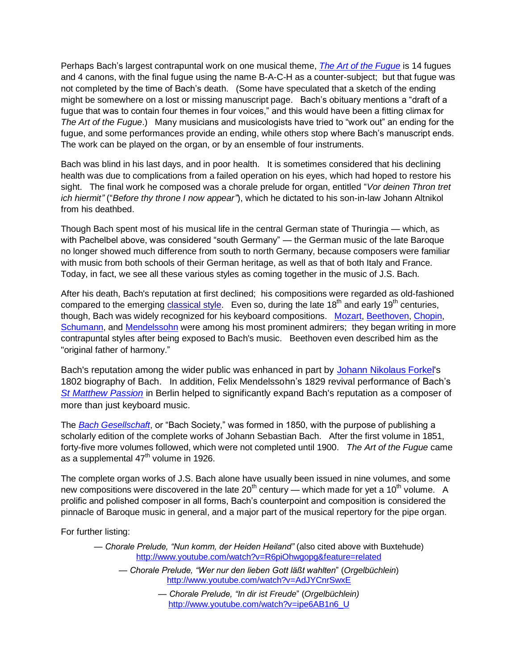Perhaps Bach's largest contrapuntal work on one musical theme, *[The Art of the Fugue](http://en.wikipedia.org/wiki/The_Art_of_Fugue)* is 14 fugues and 4 canons, with the final fugue using the name B-A-C-H as a counter-subject; but that fugue was not completed by the time of Bach's death. (Some have speculated that a sketch of the ending might be somewhere on a lost or missing manuscript page. Bach's obituary mentions a "draft of a fugue that was to contain four themes in four voices," and this would have been a fitting climax for *The Art of the Fugue*.) Many musicians and musicologists have tried to "work out" an ending for the fugue, and some performances provide an ending, while others stop where Bach's manuscript ends. The work can be played on the organ, or by an ensemble of four instruments.

Bach was blind in his last days, and in poor health. It is sometimes considered that his declining health was due to complications from a failed operation on his eyes, which had hoped to restore his sight. The final work he composed was a chorale prelude for organ, entitled "Vor deinen Thron tret *ich hiermit*" ("Before thy throne I now appear"), which he dictated to his son-in-law Johann Altnikol from his deathbed.

Though Bach spent most of his musical life in the central German state of Thuringia — which, as with Pachelbel above, was considered "south Germany" — the German music of the late Baroque no longer showed much difference from south to north Germany, because composers were familiar with music from both schools of their German heritage, as well as that of both Italy and France. Today, in fact, we see all these various styles as coming together in the music of J.S. Bach.

After his death, Bach's reputation at first declined; his compositions were regarded as old-fashioned compared to the emerging [classical style.](http://en.wikipedia.org/wiki/Classical_period_(music)) Even so, during the late  $18<sup>th</sup>$  and early 19<sup>th</sup> centuries, though, Bach was widely recognized for his keyboard compositions. [Mozart,](http://en.wikipedia.org/wiki/Wolfgang_Amadeus_Mozart) [Beethoven,](http://en.wikipedia.org/wiki/Ludwig_van_Beethoven) [Chopin,](http://en.wikipedia.org/wiki/Fr%C3%A9d%C3%A9ric_Chopin) [Schumann,](http://en.wikipedia.org/wiki/Robert_Schumann) and [Mendelssohn](http://en.wikipedia.org/wiki/Felix_Mendelssohn) were among his most prominent admirers; they began writing in more contrapuntal styles after being exposed to Bach's music. Beethoven even described him as the "original father of harmony."

Bach's reputation among the wider public was enhanced in part by [Johann Nikolaus Forkel'](http://en.wikipedia.org/wiki/Johann_Nikolaus_Forkel)s 1802 biography of Bach. In addition, Felix Mendelssohn's 1829 revival performance of Bach's *[St Matthew Passion](http://en.wikipedia.org/wiki/St_Matthew_Passion)* in Berlin helped to significantly expand Bach's reputation as a composer of more than just keyboard music.

The *[Bach Gesellschaft](http://en.wikipedia.org/wiki/Bach_Gesellschaft)*, or "Bach Society," was formed in 1850, with the purpose of publishing a scholarly edition of the complete works of Johann Sebastian Bach. After the first volume in 1851, forty-five more volumes followed, which were not completed until 1900. *The Art of the Fugue* came as a supplemental  $47<sup>th</sup>$  volume in 1926.

The complete organ works of J.S. Bach alone have usually been issued in nine volumes, and some new compositions were discovered in the late 20<sup>th</sup> century — which made for yet a 10<sup>th</sup> volume. A prolific and polished composer in all forms, Bach's counterpoint and composition is considered the pinnacle of Baroque music in general, and a major part of the musical repertory for the pipe organ.

For further listing:

- *Chorale Prelude, ―Nun komm, der Heiden Heiland‖* (also cited above with Buxtehude) <http://www.youtube.com/watch?v=R6piOhwgopg&feature=related>
	- *Chorale Prelude, ―Wer nur den lieben Gott läßt wahlten*‖ (*Orgelbüchlein*) <http://www.youtube.com/watch?v=AdJYCnrSwxE>
		- *Chorale Prelude, ―In dir ist Freude*‖ (*Orgelbüchlein)* [http://www.youtube.com/watch?v=ipe6AB1n6\\_U](http://www.youtube.com/watch?v=ipe6AB1n6_U)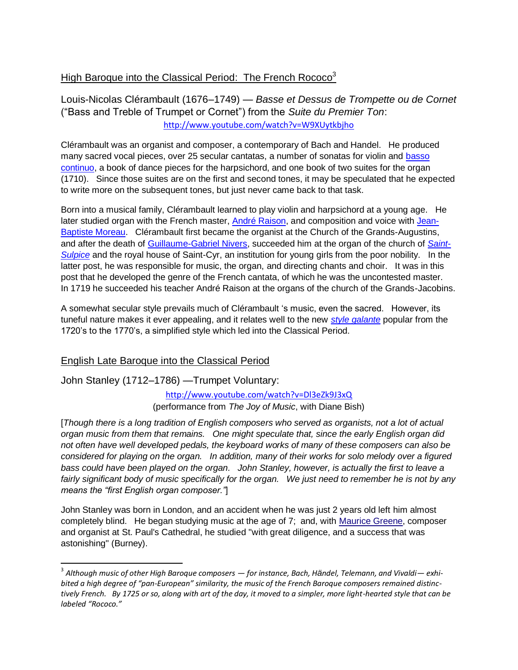## High Baroque into the Classical Period: The French Rococo<sup>3</sup>

<span id="page-14-0"></span>Louis-Nicolas Clérambault (1676–1749) — *Basse et Dessus de Trompette ou de Cornet*  (―Bass and Treble of Trumpet or Cornet‖) from the *Suite du Premier Ton*: <http://www.youtube.com/watch?v=W9XUytkbjho>

Clérambault was an organist and composer, a contemporary of Bach and Handel. He produced many sacred vocal pieces, over 25 secular cantatas, a number of sonatas for violin and [basso](http://en.wikipedia.org/wiki/Basso_continuo#Basso_continuo)  [continuo,](http://en.wikipedia.org/wiki/Basso_continuo#Basso_continuo) a book of dance pieces for the harpsichord, and one book of two suites for the organ (1710). Since those suites are on the first and second tones, it may be speculated that he expected to write more on the subsequent tones, but just never came back to that task.

Born into a musical family, Clérambault learned to play violin and harpsichord at a young age. He later studied organ with the French master, [André Raison,](http://en.wikipedia.org/wiki/Andr%C3%A9_Raison) and composition and voice with [Jean-](http://en.wikipedia.org/wiki/Jean-Baptiste_Moreau)[Baptiste Moreau.](http://en.wikipedia.org/wiki/Jean-Baptiste_Moreau) Clérambault first became the organist at the Church of the Grands-Augustins, and after the death of [Guillaume-Gabriel Nivers,](http://en.wikipedia.org/wiki/Guillaume-Gabriel_Nivers) succeeded him at the organ of the church of *[Saint-](http://en.wikipedia.org/wiki/%C3%89glise_Saint-Sulpice,_Paris)[Sulpice](http://en.wikipedia.org/wiki/%C3%89glise_Saint-Sulpice,_Paris)* and the royal house of Saint-Cyr, an institution for young girls from the poor nobility. In the latter post, he was responsible for music, the organ, and directing chants and choir. It was in this post that he developed the genre of the French cantata, of which he was the uncontested master. In 1719 he succeeded his teacher André Raison at the organs of the church of the Grands-Jacobins.

A somewhat secular style prevails much of Clérambault 's music, even the sacred. However, its tuneful nature makes it ever appealing, and it relates well to the new *[style galante](http://en.wikipedia.org/wiki/Style_galant)* popular from the 1720's to the 1770's, a simplified style which led into the Classical Period.

### English Late Baroque into the Classical Period

<span id="page-14-1"></span>John Stanley (1712–1786) —Trumpet Voluntary:

 $\overline{\phantom{a}}$ 

<http://www.youtube.com/watch?v=Dl3eZk9J3xQ> (performance from *The Joy of Music*, with Diane Bish)

[*Though there is a long tradition of English composers who served as organists, not a lot of actual organ music from them that remains. One might speculate that, since the early English organ did not often have well developed pedals, the keyboard works of many of these composers can also be considered for playing on the organ. In addition, many of their works for solo melody over a figured bass could have been played on the organ. John Stanley, however, is actually the first to leave a fairly significant body of music specifically for the organ. We just need to remember he is not by any means the "first English organ composer."* 

John Stanley was born in London, and an accident when he was just 2 years old left him almost completely blind. He began studying music at the age of 7; and, with [Maurice Greene,](http://en.wikipedia.org/wiki/Maurice_Greene_(composer)) composer and organist at St. Paul's Cathedral, he studied "with great diligence, and a success that was astonishing" (Burney).

<sup>3</sup> *Although music of other High Baroque composers — for instance, Bach, Händel, Telemann, and Vivaldi— exhibited a high degree of "pan-European" similarity, the music of the French Baroque composers remained distinctively French. By 1725 or so, along with art of the day, it moved to a simpler, more light-hearted style that can be labeled "Rococo."*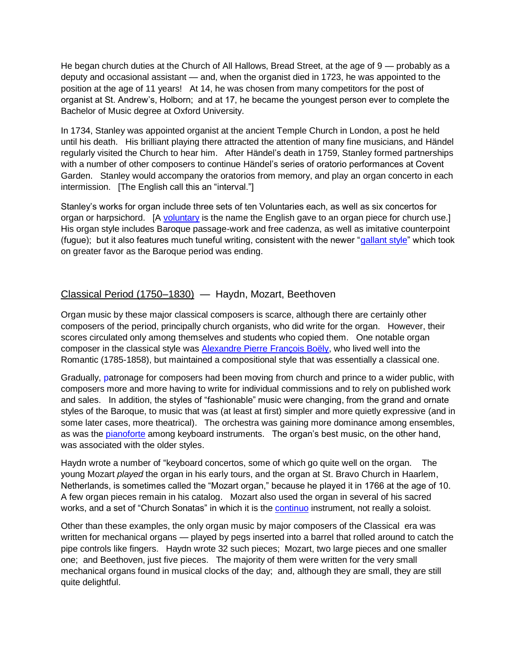He began church duties at the Church of All Hallows, Bread Street, at the age of 9 — probably as a deputy and occasional assistant — and, when the organist died in 1723, he was appointed to the position at the age of 11 years! At 14, he was chosen from many competitors for the post of organist at St. Andrew's, Holborn; and at 17, he became the youngest person ever to complete the Bachelor of Music degree at Oxford University.

In 1734, Stanley was appointed organist at the ancient Temple Church in London, a post he held until his death. His brilliant playing there attracted the attention of many fine musicians, and Händel regularly visited the Church to hear him. After Händel's death in 1759, Stanley formed partnerships with a number of other composers to continue Händel's series of oratorio performances at Covent Garden. Stanley would accompany the oratorios from memory, and play an organ concerto in each intermission. [The English call this an "interval."]

Stanley's works for organ include three sets of ten Voluntaries each, as well as six concertos for organ or harpsichord. [A [voluntary](http://en.wikipedia.org/wiki/Voluntary_(music)) is the name the English gave to an organ piece for church use.] His organ style includes Baroque passage-work and free cadenza, as well as imitative counterpoint (fugue); but it also features much tuneful writing, consistent with the newer "gallant style" which took on greater favor as the Baroque period was ending.

## <span id="page-15-0"></span>Classical Period (1750–1830) — Haydn, Mozart, Beethoven

Organ music by these major classical composers is scarce, although there are certainly other composers of the period, principally church organists, who did write for the organ. However, their scores circulated only among themselves and students who copied them. One notable organ composer in the classical style was [Alexandre Pierre François Boëly,](http://en.wikipedia.org/wiki/Alexandre_Pierre_Fran%C3%A7ois_Bo%C3%ABly) who lived well into the Romantic (1785-1858), but maintained a compositional style that was essentially a classical one.

Gradually, patronage for composers had been moving from church and prince to a wider public, with composers more and more having to write for individual commissions and to rely on published work and sales. In addition, the styles of "fashionable" music were changing, from the grand and ornate styles of the Baroque, to music that was (at least at first) simpler and more quietly expressive (and in some later cases, more theatrical). The orchestra was gaining more dominance among ensembles, as was the [pianoforte](http://en.wikipedia.org/wiki/Fortepiano) among keyboard instruments. The organ's best music, on the other hand, was associated with the older styles.

Haydn wrote a number of "keyboard concertos, some of which go quite well on the organ. The young Mozart *played* the organ in his early tours, and the organ at St. Bravo Church in Haarlem, Netherlands, is sometimes called the "Mozart organ," because he played it in 1766 at the age of 10. A few organ pieces remain in his catalog. Mozart also used the organ in several of his sacred works, and a set of "Church Sonatas" in which it is the [continuo](http://en.wikipedia.org/wiki/Basso_continuo) instrument, not really a soloist.

Other than these examples, the only organ music by major composers of the Classical era was written for mechanical organs — played by pegs inserted into a barrel that rolled around to catch the pipe controls like fingers. Haydn wrote 32 such pieces; Mozart, two large pieces and one smaller one; and Beethoven, just five pieces. The majority of them were written for the very small mechanical organs found in musical clocks of the day; and, although they are small, they are still quite delightful.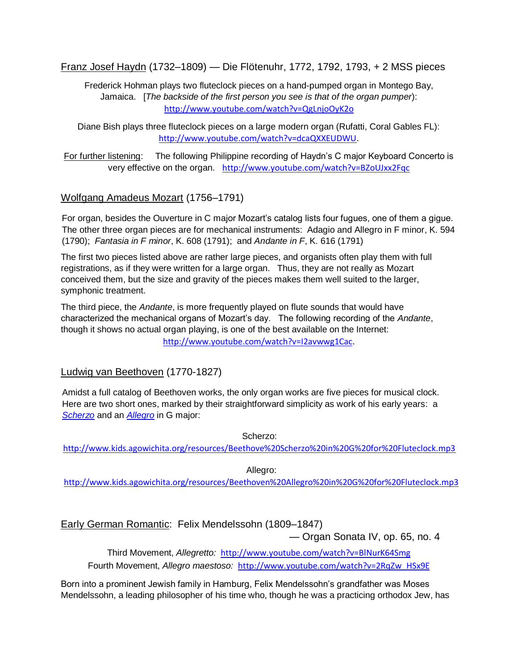Franz Josef Haydn (1732–1809) — Die Flötenuhr, 1772, 1792, 1793, + 2 MSS pieces

Frederick Hohman plays two fluteclock pieces on a hand-pumped organ in Montego Bay, Jamaica. [*The backside of the first person you see is that of the organ pumper*): <http://www.youtube.com/watch?v=QgLnjoOyK2o>

Diane Bish plays three fluteclock pieces on a large modern organ (Rufatti, Coral Gables FL): [http://www.youtube.com/watch?v=dcaQXXEUDWU.](http://www.youtube.com/watch?v=dcaQXXEUDWU)

For further listening: The following Philippine recording of Haydn's C major Keyboard Concerto is very effective on the organ. <http://www.youtube.com/watch?v=BZoUJxx2Fqc>

### Wolfgang Amadeus Mozart (1756–1791)

For organ, besides the Ouverture in C major Mozart's catalog lists four fugues, one of them a gigue. The other three organ pieces are for mechanical instruments: Adagio and Allegro in F minor, K. 594 (1790); *Fantasia in F minor*, K. 608 (1791); and *Andante in F*, K. 616 (1791)

The first two pieces listed above are rather large pieces, and organists often play them with full registrations, as if they were written for a large organ. Thus, they are not really as Mozart conceived them, but the size and gravity of the pieces makes them well suited to the larger, symphonic treatment.

The third piece, the *Andante*, is more frequently played on flute sounds that would have characterized the mechanical organs of Mozart's day. The following recording of the *Andante*, though it shows no actual organ playing, is one of the best available on the Internet: [http://www.youtube.com/watch?v=I2avwwg1Cac.](http://www.youtube.com/watch?v=I2avwwg1Cac)

### Ludwig van Beethoven (1770-1827)

Amidst a full catalog of Beethoven works, the only organ works are five pieces for musical clock. Here are two short ones, marked by their straightforward simplicity as work of his early years: a *Scherzo* and an *Allegro* in G major:

Scherzo:

<http://www.kids.agowichita.org/resources/Beethove%20Scherzo%20in%20G%20for%20Fluteclock.mp3>

<span id="page-16-0"></span>Allegro:

<http://www.kids.agowichita.org/resources/Beethoven%20Allegro%20in%20G%20for%20Fluteclock.mp3>

## Early German Romantic: Felix Mendelssohn (1809–1847)

— Organ Sonata IV, op. 65, no. 4

Third Movement, *Allegretto:* <http://www.youtube.com/watch?v=BlNurK64Smg> Fourth Movement, *Allegro maestoso:* [http://www.youtube.com/watch?v=2RqZw\\_HSx9E](http://www.youtube.com/watch?v=2RqZw_HSx9E)

Born into a prominent Jewish family in Hamburg, Felix Mendelssohn's grandfather was Moses Mendelssohn, a leading philosopher of his time who, though he was a practicing orthodox Jew, has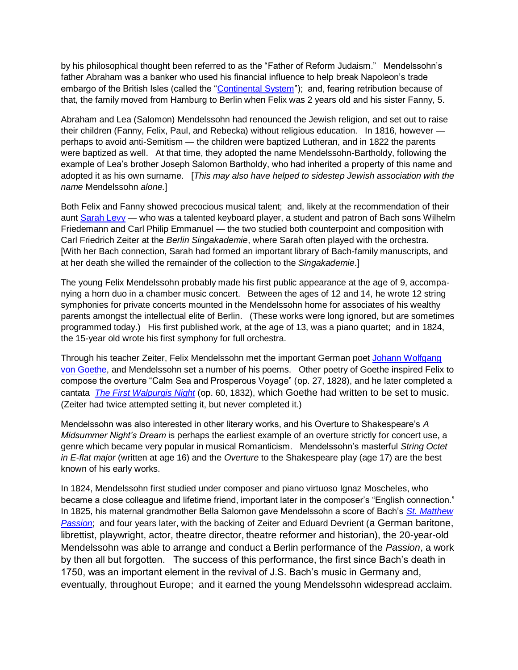by his philosophical thought been referred to as the "Father of Reform Judaism." Mendelssohn's father Abraham was a banker who used his financial influence to help break Napoleon's trade embargo of the British Isles (called the "Continental System"); and, fearing retribution because of that, the family moved from Hamburg to Berlin when Felix was 2 years old and his sister Fanny, 5.

Abraham and Lea (Salomon) Mendelssohn had renounced the Jewish religion, and set out to raise their children (Fanny, Felix, Paul, and Rebecka) without religious education. In 1816, however perhaps to avoid anti-Semitism — the children were baptized Lutheran, and in 1822 the parents were baptized as well. At that time, they adopted the name Mendelssohn-Bartholdy, following the example of Lea's brother Joseph Salomon Bartholdy, who had inherited a property of this name and adopted it as his own surname. [*This may also have helped to sidestep Jewish association with the name* Mendelssohn *alone.*]

Both Felix and Fanny showed precocious musical talent; and, likely at the recommendation of their aunt [Sarah Levy](http://en.wikipedia.org/wiki/Itzig_family#Sarah_Itzig_.281761-1854.29) — who was a talented keyboard player, a student and patron of Bach sons Wilhelm Friedemann and Carl Philip Emmanuel — the two studied both counterpoint and composition with Carl Friedrich Zeiter at the *Berlin Singakademie*, where Sarah often played with the orchestra. [With her Bach connection, Sarah had formed an important library of Bach-family manuscripts, and at her death she willed the remainder of the collection to the *Singakademie*.]

The young Felix Mendelssohn probably made his first public appearance at the age of 9, accompanying a horn duo in a chamber music concert. Between the ages of 12 and 14, he wrote 12 string symphonies for private concerts mounted in the Mendelssohn home for associates of his wealthy parents amongst the intellectual elite of Berlin. (These works were long ignored, but are sometimes programmed today.) His first published work, at the age of 13, was a piano quartet; and in 1824, the 15-year old wrote his first symphony for full orchestra.

Through his teacher Zeiter, Felix Mendelssohn met the important German poet [Johann Wolfgang](http://en.wikipedia.org/wiki/Johann_Wolfgang_von_Goethe)  [von Goethe,](http://en.wikipedia.org/wiki/Johann_Wolfgang_von_Goethe) and Mendelssohn set a number of his poems. Other poetry of Goethe inspired Felix to compose the overture "Calm Sea and Prosperous Voyage" (op. 27, 1828), and he later completed a cantata *[The First Walpurgis Night](http://en.wikipedia.org/wiki/Die_erste_Walpurgisnacht)* (op. 60, 1832), which Goethe had written to be set to music. (Zeiter had twice attempted setting it, but never completed it.)

Mendelssohn was also interested in other literary works, and his Overture to Shakespeare's *A Midsummer Night's Dream* is perhaps the earliest example of an overture strictly for concert use, a genre which became very popular in musical Romanticism. Mendelssohn's masterful *String Octet in E-flat major* (written at age 16) and the *Overture* to the Shakespeare play (age 17) are the best known of his early works.

In 1824, Mendelssohn first studied under composer and piano virtuoso Ignaz Moscheles, who became a close colleague and lifetime friend, important later in the composer's "English connection." In 1825, his maternal grandmother Bella Salomon gave Mendelssohn a score of Bach's *[St. Matthew](http://en.wikipedia.org/wiki/St._Matthew_Passion_(Bach))  [Passion](http://en.wikipedia.org/wiki/St._Matthew_Passion_(Bach))*; and four years later, with the backing of Zeiter and Eduard Devrient (a German baritone, librettist, playwright, actor, theatre director, theatre reformer and historian), the 20-year-old Mendelssohn was able to arrange and conduct a Berlin performance of the *Passion*, a work by then all but forgotten. The success of this performance, the first since Bach's death in 1750, was an important element in the revival of J.S. Bach's music in Germany and, eventually, throughout Europe; and it earned the young Mendelssohn widespread acclaim.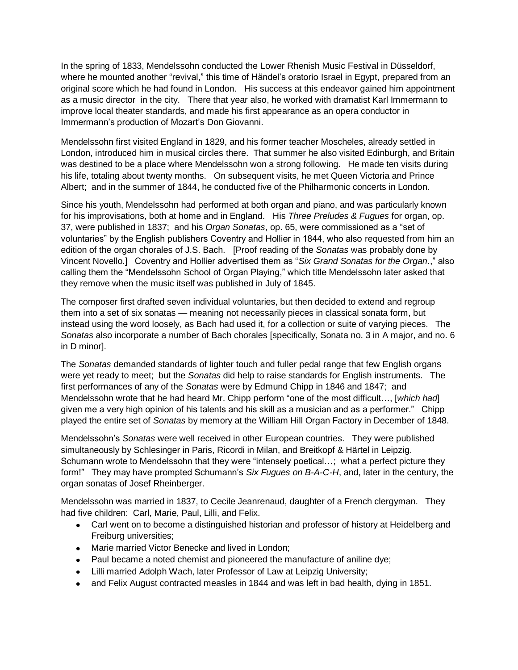In the spring of 1833, Mendelssohn conducted the Lower Rhenish Music Festival in Düsseldorf, where he mounted another "revival," this time of Händel's oratorio Israel in Egypt, prepared from an original score which he had found in London. His success at this endeavor gained him appointment as a music director in the city. There that year also, he worked with dramatist Karl Immermann to improve local theater standards, and made his first appearance as an opera conductor in Immermann's production of Mozart's Don Giovanni.

Mendelssohn first visited England in 1829, and his former teacher Moscheles, already settled in London, introduced him in musical circles there. That summer he also visited Edinburgh, and Britain was destined to be a place where Mendelssohn won a strong following. He made ten visits during his life, totaling about twenty months. On subsequent visits, he met Queen Victoria and Prince Albert; and in the summer of 1844, he conducted five of the Philharmonic concerts in London.

Since his youth, Mendelssohn had performed at both organ and piano, and was particularly known for his improvisations, both at home and in England. His *Three Preludes & Fugues* for organ, op. 37, were published in 1837; and his *Organ Sonatas*, op. 65, were commissioned as a "set of voluntaries" by the English publishers Coventry and Hollier in 1844, who also requested from him an edition of the organ chorales of J.S. Bach. [Proof reading of the *Sonatas* was probably done by Vincent Novello.] Coventry and Hollier advertised them as "Six Grand Sonatas for the Organ.," also calling them the "Mendelssohn School of Organ Playing," which title Mendelssohn later asked that they remove when the music itself was published in July of 1845.

The composer first drafted seven individual voluntaries, but then decided to extend and regroup them into a set of six sonatas — meaning not necessarily pieces in classical sonata form, but instead using the word loosely, as Bach had used it, for a collection or suite of varying pieces. The *Sonatas* also incorporate a number of Bach chorales [specifically, Sonata no. 3 in A major, and no. 6 in D minor].

The *Sonatas* demanded standards of lighter touch and fuller pedal range that few English organs were yet ready to meet; but the *Sonatas* did help to raise standards for English instruments. The first performances of any of the *Sonatas* were by Edmund Chipp in 1846 and 1847; and Mendelssohn wrote that he had heard Mr. Chipp perform "one of the most difficult..., [which had] given me a very high opinion of his talents and his skill as a musician and as a performer." Chipp played the entire set of *Sonatas* by memory at the William Hill Organ Factory in December of 1848.

Mendelssohn's *Sonatas* were well received in other European countries. They were published simultaneously by Schlesinger in Paris, Ricordi in Milan, and Breitkopf & Härtel in Leipzig. Schumann wrote to Mendelssohn that they were "intensely poetical...; what a perfect picture they form!" They may have prompted Schumann's Six Fugues on B-A-C-H, and, later in the century, the organ sonatas of Josef Rheinberger.

Mendelssohn was married in 1837, to Cecile Jeanrenaud, daughter of a French clergyman. They had five children: Carl, Marie, Paul, Lilli, and Felix.

- Carl went on to become a distinguished historian and professor of history at Heidelberg and Freiburg universities;
- Marie married Victor Benecke and lived in London;
- Paul became a noted chemist and pioneered the manufacture of aniline dye;
- Lilli married Adolph Wach, later Professor of Law at Leipzig University;
- and Felix August contracted measles in 1844 and was left in bad health, dying in 1851.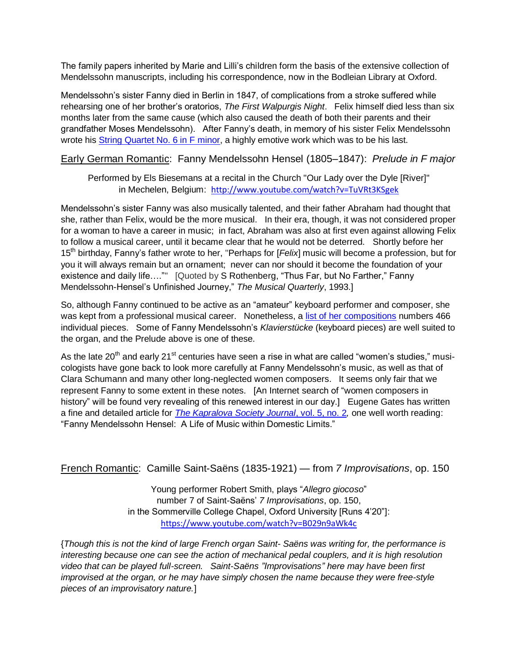The family papers inherited by Marie and Lilli's children form the basis of the extensive collection of Mendelssohn manuscripts, including his correspondence, now in the Bodleian Library at Oxford.

Mendelssohn's sister Fanny died in Berlin in 1847, of complications from a stroke suffered while rehearsing one of her brother's oratorios, *The First Walpurgis Night*. Felix himself died less than six months later from the same cause (which also caused the death of both their parents and their grandfather Moses Mendelssohn). After Fanny's death, in memory of his sister Felix Mendelssohn wrote his [String Quartet No. 6 in F minor,](http://en.wikipedia.org/wiki/String_Quartet_No._6_(Mendelssohn)) a highly emotive work which was to be his last.

Early German Romantic: Fanny Mendelssohn Hensel (1805–1847): *Prelude in F major*

<span id="page-19-0"></span>Performed by Els Biesemans at a recital in the Church "Our Lady over the Dyle [River]" in Mechelen, Belgium: <http://www.youtube.com/watch?v=TuVRt3KSgek>

Mendelssohn's sister Fanny was also musically talented, and their father Abraham had thought that she, rather than Felix, would be the more musical. In their era, though, it was not considered proper for a woman to have a career in music; in fact, Abraham was also at first even against allowing Felix to follow a musical career, until it became clear that he would not be deterred. Shortly before her 15th birthday, Fanny's father wrote to her, "Perhaps for [*Felix*] music will become a profession, but for you it will always remain but an ornament; never can nor should it become the foundation of your existence and daily life...."" [Quoted by S Rothenberg, "Thus Far, but No Farther," Fanny Mendelssohn-Hensel's Unfinished Journey,‖ *The Musical Quarterly*, 1993.]

So, although Fanny continued to be active as an "amateur" keyboard performer and composer, she was kept from a professional musical career. Nonetheless, a [list of her compositions](http://en.wikipedia.org/wiki/List_of_compositions_by_Fanny_Mendelssohn) numbers 466 individual pieces. Some of Fanny Mendelssohn's *Klavierstücke* (keyboard pieces) are well suited to the organ, and the Prelude above is one of these.

As the late  $20<sup>th</sup>$  and early  $21<sup>st</sup>$  centuries have seen a rise in what are called "women's studies," musicologists have gone back to look more carefully at Fanny Mendelssohn's music, as well as that of Clara Schumann and many other long-neglected women composers. It seems only fair that we represent Fanny to some extent in these notes. [An Internet search of "women composers in history" will be found very revealing of this renewed interest in our day.] Eugene Gates has written a fine and detailed article for *[The Kapralova Society Journal](http://www.kapralova.org/journal9.pdf)*, vol. 5, no. 2*,* one well worth reading: "Fanny Mendelssohn Hensel: A Life of Music within Domestic Limits."

French Romantic: Camille Saint-Saëns (1835-1921) — from *7 Improvisations*, op. 150

<span id="page-19-1"></span>Young performer Robert Smith, plays "Allegro giocoso" number 7 of Saint-Saëns' *7 Improvisations*, op. 150, in the Sommerville College Chapel, Oxford University [Runs 4'20"]: <https://www.youtube.com/watch?v=B029n9aWk4c>

{*Though this is not the kind of large French organ Saint- Saëns was writing for, the performance is interesting because one can see the action of mechanical pedal couplers, and it is high resolution video that can be played full-screen. Saint-Saëns ‖Improvisations‖ here may have been first improvised at the organ, or he may have simply chosen the name because they were free-style pieces of an improvisatory nature.*]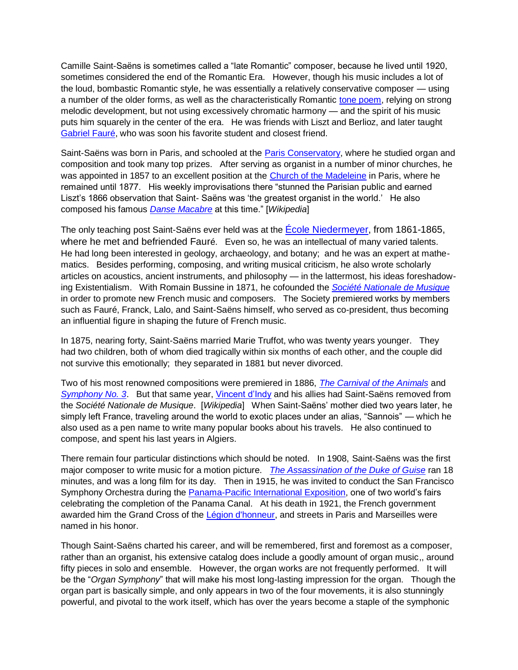Camille Saint-Saëns is sometimes called a "late Romantic" composer, because he lived until 1920, sometimes considered the end of the Romantic Era. However, though his music includes a lot of the loud, bombastic Romantic style, he was essentially a relatively conservative composer — using a number of the older forms, as well as the characteristically Romantic [tone poem,](http://en.wikipedia.org/wiki/Tone_poem) relying on strong melodic development, but not using excessively chromatic harmony — and the spirit of his music puts him squarely in the center of the era. He was friends with Liszt and Berlioz, and later taught [Gabriel Fauré,](http://en.wikipedia.org/wiki/Gabriel_Faur%C3%A9) who was soon his favorite student and closest friend.

Saint-Saëns was born in Paris, and schooled at the [Paris Conservatory,](http://en.wikipedia.org/wiki/Conservatoire_de_Paris) where he studied organ and composition and took many top prizes. After serving as organist in a number of minor churches, he was appointed in 1857 to an excellent position at the [Church of the Madeleine](http://en.wikipedia.org/wiki/%C3%89glise_de_la_Madeleine) in Paris, where he remained until 1877. His weekly improvisations there "stunned the Parisian public and earned Liszt's 1866 observation that Saint-Saëns was 'the greatest organist in the world.' He also composed his famous *[Danse Macabre](http://en.wikipedia.org/wiki/Danse_macabre_(Saint-Sa%C3%ABns))* at this time.‖ [*Wikipedia*]

The only teaching post Saint-Saëns ever held was at the Ecole Niedermeyer, from 1861-1865. where he met and befriended Fauré. Even so, he was an intellectual of many varied talents. He had long been interested in geology, archaeology, and botany; and he was an expert at mathematics. Besides performing, composing, and writing musical criticism, he also wrote scholarly articles on acoustics, ancient instruments, and philosophy — in the lattermost, his ideas foreshadowing Existentialism. With Romain Bussine in 1871, he cofounded the *[Société Nationale de Musique](http://en.wikipedia.org/wiki/Soci%C3%A9t%C3%A9_Nationale_de_Musique)* in order to promote new French music and composers. The Society premiered works by members such as Fauré, Franck, Lalo, and Saint-Saëns himself, who served as co-president, thus becoming an influential figure in shaping the future of French music.

In 1875, nearing forty, Saint-Saëns married Marie Truffot, who was twenty years younger. They had two children, both of whom died tragically within six months of each other, and the couple did not survive this emotionally; they separated in 1881 but never divorced.

Two of his most renowned compositions were premiered in 1886, *The [Carnival of the Animals](http://en.wikipedia.org/wiki/The_Carnival_of_the_Animals)* and *[Symphony No. 3](http://en.wikipedia.org/wiki/Symphony_No._3_(Saint-Sa%C3%ABns))*. But that same year, [Vincent d'Indy](http://en.wikipedia.org/wiki/Vincent_d%27Indy) and his allies had Saint-Saëns removed from the *Société Nationale de Musique*. [*Wikipedia*] When Saint-Saëns' mother died two years later, he simply left France, traveling around the world to exotic places under an alias, "Sannois" — which he also used as a pen name to write many popular books about his travels. He also continued to compose, and spent his last years in Algiers.

There remain four particular distinctions which should be noted. In 1908, Saint-Saëns was the first major composer to write music for a motion picture. *[The Assassination of the Duke of Guise](http://en.wikipedia.org/wiki/The_Assassination_of_the_Duke_of_Guise)* ran 18 minutes, and was a long film for its day. Then in 1915, he was invited to conduct the San Francisco Symphony Orchestra during the **Panama-Pacific International Exposition**, one of two world's fairs celebrating the completion of the Panama Canal. At his death in 1921, the French government awarded him the Grand Cross of the [Légion d'honneur,](http://en.wikipedia.org/wiki/L%C3%A9gion_d%27honneur) and streets in Paris and Marseilles were named in his honor.

Though Saint-Saëns charted his career, and will be remembered, first and foremost as a composer, rather than an organist, his extensive catalog does include a goodly amount of organ music,, around fifty pieces in solo and ensemble. However, the organ works are not frequently performed. It will be the "Organ Symphony" that will make his most long-lasting impression for the organ. Though the organ part is basically simple, and only appears in two of the four movements, it is also stunningly powerful, and pivotal to the work itself, which has over the years become a staple of the symphonic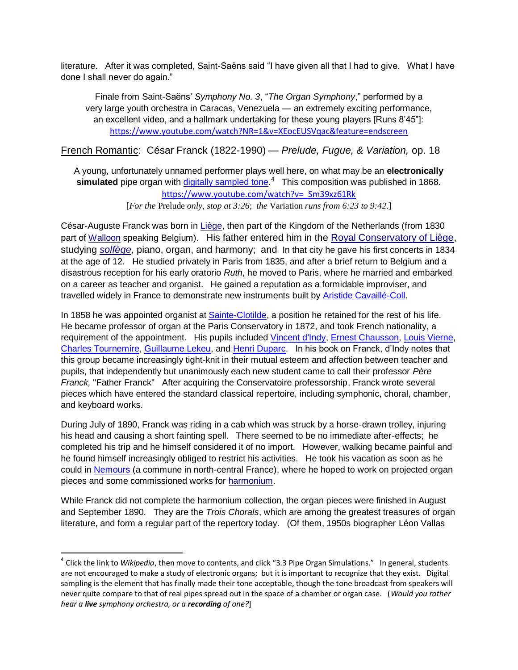literature. After it was completed, Saint-Saëns said "I have given all that I had to give. What I have done I shall never do again."

Finale from Saint-Saëns' *Symphony No. 3*, "The Organ Symphony," performed by a very large youth orchestra in Caracas, Venezuela — an extremely exciting performance, an excellent video, and a hallmark undertaking for these young players [Runs 8'45‖]: <https://www.youtube.com/watch?NR=1&v=XEocEUSVqac&feature=endscreen>

French Romantic: César Franck (1822-1990) — *Prelude, Fugue, & Variation,* op. 18

A young, unfortunately unnamed performer plays well here, on what may be an **electronically** simulated pipe organ with **digitally sampled tone.<sup>4</sup> This composition was published in 1868.** [https://www.youtube.com/watch?v=\\_Sm39xz61Rk](https://www.youtube.com/watch?v=_Sm39xz61Rk) 

<span id="page-21-0"></span>[*For the* Prelude *only, stop at 3:26*; *the* Variation *runs from 6:23 to 9:42*.]

César-Auguste Franck was born in [Liège,](http://en.wikipedia.org/wiki/Li%C3%A8ge) then part of the Kingdom of the Netherlands (from 1830 part of [Walloon](http://en.wikipedia.org/wiki/Walloon_language) speaking Belgium). His father entered him in the [Royal Conservatory of Liège,](http://en.wikipedia.org/wiki/Royal_Conservatory_of_Li%C3%A8ge) studying *[solfège](http://en.wikipedia.org/wiki/Solf%C3%A8ge)*, piano, organ, and harmony; and In that city he gave his first concerts in 1834 at the age of 12. He studied privately in Paris from 1835, and after a brief return to Belgium and a disastrous reception for his early oratorio *Ruth*, he moved to Paris, where he married and embarked on a career as teacher and organist. He gained a reputation as a formidable improviser, and travelled widely in France to demonstrate new instruments built by [Aristide Cavaillé-Coll.](http://en.wikipedia.org/wiki/Aristide_Cavaill%C3%A9-Coll)

In 1858 he was appointed organist at [Sainte-Clotilde,](http://en.wikipedia.org/wiki/Basilica_of_St._Clotilde,_Paris) a position he retained for the rest of his life. He became professor of organ at the Paris Conservatory in 1872, and took French nationality, a requirement of the appointment. His pupils included [Vincent d'Indy,](http://en.wikipedia.org/wiki/Vincent_d%27Indy) [Ernest Chausson,](http://en.wikipedia.org/wiki/Ernest_Chausson) [Louis Vierne,](http://en.wikipedia.org/wiki/Louis_Vierne) [Charles Tournemire,](http://en.wikipedia.org/wiki/Charles_Tournemire) [Guillaume Lekeu,](http://en.wikipedia.org/wiki/Guillaume_Lekeu) and [Henri Duparc.](http://en.wikipedia.org/wiki/Henri_Duparc_(composer)) In his book on Franck, d'Indy notes that this group became increasingly tight-knit in their mutual esteem and affection between teacher and pupils, that independently but unanimously each new student came to call their professor *Père Franck,* "Father Franck" After acquiring the Conservatoire professorship, Franck wrote several pieces which have entered the standard classical repertoire, including [symphonic,](http://en.wikipedia.org/wiki/Symphonic) choral, [chamber,](http://en.wikipedia.org/wiki/Chamber_music) and [keyboard](http://en.wikipedia.org/wiki/Musical_keyboard) works.

During July of 1890, Franck was riding in a cab which was struck by a horse-drawn trolley, injuring his head and causing a short fainting spell. There seemed to be no immediate after-effects; he completed his trip and he himself considered it of no import. However, walking became painful and he found himself increasingly obliged to restrict his activities. He took his vacation as soon as he could in [Nemours](http://en.wikipedia.org/wiki/Nemours) (a commune in north-central France), where he hoped to work on projected organ pieces and some commissioned works for [harmonium.](http://en.wikipedia.org/wiki/Harmonium)

While Franck did not complete the harmonium collection, the organ pieces were finished in August and September 1890. They are the *Trois Chorals*, which are among the greatest treasures of organ literature, and form a regular part of the repertory today. (Of them, 1950s biographer Léon Vallas

 $\overline{\phantom{a}}$ 

<sup>4</sup> Click the link to *Wikipedia*, then move to contents, and click "3.3 Pipe Organ Simulations." In general, students are not encouraged to make a study of electronic organs; but it is important to recognize that they exist. Digital sampling is the element that has finally made their tone acceptable, though the tone broadcast from speakers will never quite compare to that of real pipes spread out in the space of a chamber or organ case. (*Would you rather hear a live symphony orchestra, or a recording of one?*]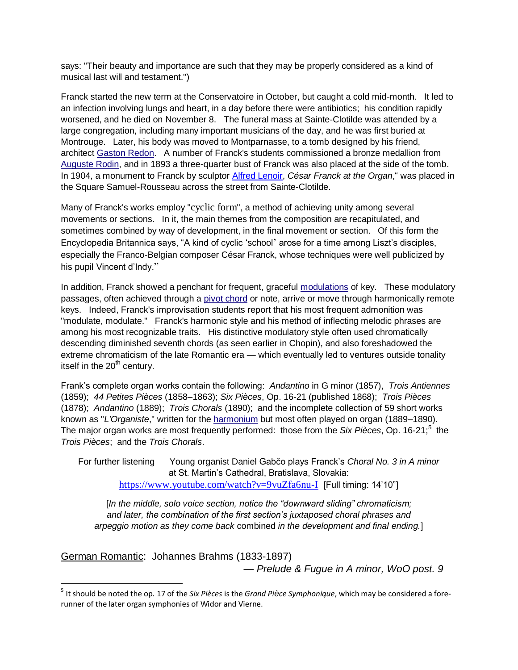says: "Their beauty and importance are such that they may be properly considered as a kind of musical last will and testament.")

Franck started the new term at the Conservatoire in October, but caught a cold mid-month. It led to an infection involving lungs and heart, in a day before there were antibiotics; his condition rapidly worsened, and he died on November 8. The funeral mass at Sainte-Clotilde was attended by a large congregation, including many important musicians of the day, and he was first buried at Montrouge. Later, his body was moved to Montparnasse, to a tomb designed by his friend, architect [Gaston Redon.](http://en.wikipedia.org/wiki/Gaston_Redon) A number of Franck's students commissioned a bronze medallion from [Auguste Rodin,](http://en.wikipedia.org/wiki/Auguste_Rodin) and in 1893 a three-quarter bust of Franck was also placed at the side of the tomb. In 1904, a monument to Franck by sculptor [Alfred Lenoir,](http://en.wikipedia.org/w/index.php?title=Alfred-Charles_Lenoir&action=edit&redlink=1) *César Franck at the Organ*," was placed in the Square Samuel-Rousseau across the street from Sainte-Clotilde.

Many of Franck's works employ "[cyclic form](http://en.wikipedia.org/wiki/Cyclic_form)", a method of achieving unity among several movements or sections. In it, the main themes from the composition are recapitulated, and sometimes combined by way of development, in the final movement or section. Of this form the Encyclopedia Britannica says, "A kind of cyclic 'school' arose for a time among Liszt's disciples, especially the Franco-Belgian composer César Franck, whose techniques were well publicized by his pupil Vincent d'Indy."

In addition, Franck showed a penchant for frequent, graceful [modulations](http://en.wikipedia.org/wiki/Modulation_(music)) of key. These modulatory passages, often achieved through a [pivot chord](http://en.wikipedia.org/wiki/Common_chord_(music)) or note, arrive or move through harmonically remote keys. Indeed, Franck's improvisation students report that his most frequent admonition was "modulate, modulate." Franck's harmonic style and his method of inflecting melodic phrases are among his most recognizable traits. His distinctive modulatory style often used chromatically descending diminished seventh chords (as seen earlier in Chopin), and also foreshadowed the extreme chromaticism of the late Romantic era — which eventually led to ventures outside tonality itself in the 20<sup>th</sup> century.

Frank's complete organ works contain the following: *Andantino* in G minor (1857), *Trois Antiennes* (1859); *44 Petites Pièces* (1858–1863); *Six Pièces*, Op. 16-21 (published 1868); *Trois Pièces* (1878); *Andantino* (1889); *Trois Chorals* (1890); and the incomplete collection of 59 short works known as "*L'Organiste*," written for the [harmonium](http://en.wikipedia.org/wiki/Harmonium) but most often played on organ (1889–1890). The major organ works are most frequently performed: those from the *Six Pièces*, Op. 16-21; 5 the *Trois Pièces*; and the *Trois Chorals*.

For further listening Young organist Daniel Gabčo plays Franck's *Choral No. 3 in A minor* at St. Martin's Cathedral, Bratislava, Slovakia: <https://www.youtube.com/watch?v=9vuZfa6nu-I>[Full timing: 14'10"]

<span id="page-22-0"></span>[In the middle, solo voice section, notice the "downward sliding" chromaticism; *and later, the combination of the first section's juxtaposed choral phrases and arpeggio motion as they come back* combined *in the development and final ending.*]

German Romantic: Johannes Brahms (1833-1897)

 $\overline{a}$ 

— *Prelude & Fugue in A minor, WoO post. 9*

<sup>5</sup> It should be noted the op. 17 of the *Six Pièces* is the *Grand Pièce Symphonique*, which may be considered a forerunner of the later organ symphonies of Widor and Vierne.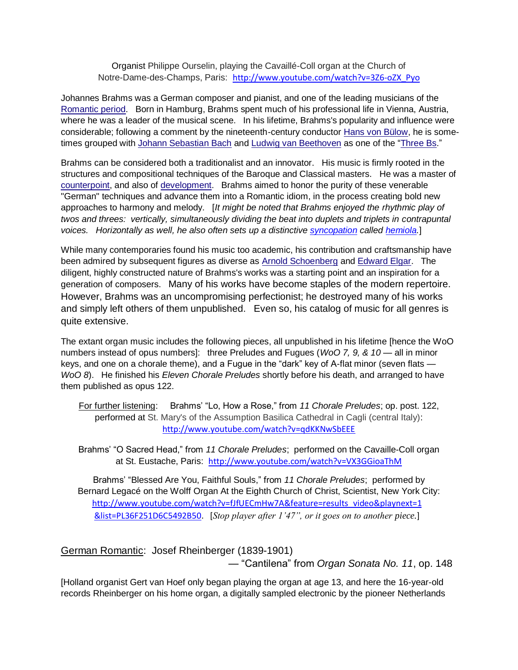#### Organist Philippe Ourselin, playing the Cavaillé-Coll organ at the Church of Notre-Dame-des-Champs, Paris: [http://www.youtube.com/watch?v=3Z6-oZX\\_Pyo](http://www.youtube.com/watch?v=3Z6-oZX_Pyo)

Johannes Brahms was a German composer and pianist, and one of the leading musicians of the [Romantic period.](http://en.wikipedia.org/wiki/Romantic_music) Born in Hamburg, Brahms spent much of his professional life in Vienna, Austria, where he was a leader of the musical scene. In his lifetime, Brahms's popularity and influence were considerable; following a comment by the nineteenth-century conductor [Hans von Bülow,](http://en.wikipedia.org/wiki/Hans_von_B%C3%BClow) he is some-times grouped with [Johann Sebastian Bach](http://en.wikipedia.org/wiki/Johann_Sebastian_Bach) and [Ludwig van Beethoven](http://en.wikipedia.org/wiki/Ludwig_van_Beethoven) as one of the "Three Bs."

Brahms can be considered both a traditionalist and an innovator. His music is firmly rooted in the structures and compositional techniques of the Baroque and Classical masters. He was a master of [counterpoint,](http://en.wikipedia.org/wiki/Counterpoint) and also of [development.](http://en.wikipedia.org/wiki/Musical_development) Brahms aimed to honor the purity of these venerable "German" techniques and advance them into a Romantic idiom, in the process creating bold new approaches to harmony and melody. [*It might be noted that Brahms enjoyed the rhythmic play of twos and threes: vertically, simultaneously dividing the beat into duplets and triplets in contrapuntal voices. Horizontally as well, he also often sets up a distinctive [syncopation](http://en.wikipedia.org/wiki/Syncopation) called [hemiola.](http://en.wikipedia.org/wiki/Hemiola)*]

While many contemporaries found his music too academic, his contribution and craftsmanship have been admired by subsequent figures as diverse as [Arnold Schoenberg](http://en.wikipedia.org/wiki/Arnold_Schoenberg) and [Edward Elgar.](http://en.wikipedia.org/wiki/Edward_Elgar) The diligent, highly constructed nature of Brahms's works was a starting point and an inspiration for a generation of composers. Many of his works have become staples of the modern repertoire. However, Brahms was an uncompromising perfectionist; he destroyed many of his works and simply left others of them unpublished. Even so, his catalog of music for all genres is quite extensive.

The extant organ music includes the following pieces, all unpublished in his lifetime [hence the WoO numbers instead of opus numbers]: three Preludes and Fugues (*WoO 7, 9, & 10 —* all in minor keys, and one on a chorale theme), and a Fugue in the "dark" key of A-flat minor (seven flats — *WoO 8*). He finished his *Eleven Chorale Preludes* shortly before his death, and arranged to have them published as opus 122.

For further listening: Brahms' "Lo, How a Rose," from 11 Chorale Preludes; op. post. 122, performed at St. Mary's of the Assumption Basilica Cathedral in Cagli (central Italy): <http://www.youtube.com/watch?v=qdKKNwSbEEE>

Brahms' "O Sacred Head," from 11 Chorale Preludes; performed on the Cavaille-Coll organ at St. Eustache, Paris: <http://www.youtube.com/watch?v=VX3GGioaThM>

Brahms' "Blessed Are You, Faithful Souls," from 11 Chorale Preludes; performed by Bernard Legacé on the Wolff Organ At the Eighth Church of Christ, Scientist, New York City: [http://www.youtube.com/watch?v=fJfUECmHw7A&feature=results\\_video&playnext=1](http://www.youtube.com/watch?v=fJfUECmHw7A&feature=results_video&playnext=1&list=PL36F251D6C5492B50) [&list=PL36F251D6C5492B50.](http://www.youtube.com/watch?v=fJfUECmHw7A&feature=results_video&playnext=1&list=PL36F251D6C5492B50) [*Stop player after 1'47", or it goes on to another piece.*]

German Romantic: Josef Rheinberger (1839-1901)

<span id="page-23-0"></span>— ―Cantilena‖ from *Organ Sonata No. 11*, op. 148

[Holland organist Gert van Hoef only began playing the organ at age 13, and here the 16-year-old records Rheinberger on his home organ, a digitally sampled electronic by the pioneer Netherlands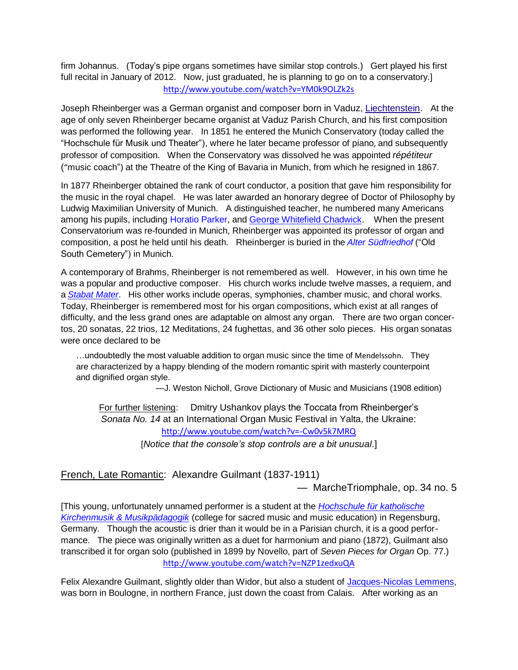firm Johannus. (Today's pipe organs sometimes have similar stop controls.) Gert played his first full recital in January of 2012. Now, just graduated, he is planning to go on to a conservatory.] <http://www.youtube.com/watch?v=YM0k9OLZk2s>

Joseph Rheinberger was a German organist and composer born in Vaduz, [Liechtenstein.](http://en.wikipedia.org/wiki/Liechtenstein) At the age of only seven Rheinberger became organist at Vaduz Parish Church, and his first composition was performed the following year. In 1851 he entered the Munich Conservatory (today called the ―Hochschule für Musik und Theater‖), where he later became professor of piano, and subsequently professor of composition. When the Conservatory was dissolved he was appointed *répétiteur* ("music coach") at the Theatre of the King of Bavaria in Munich, from which he resigned in 1867.

In 1877 Rheinberger obtained the rank of court conductor, a position that gave him responsibility for the music in the royal chapel. He was later awarded an honorary degree of Doctor of Philosophy by Ludwig Maximilian University of Munich. A distinguished teacher, he numbered many Americans among his pupils, including [Horatio Parker,](http://en.wikipedia.org/wiki/Horatio_Parker) and [George Whitefield Chadwick.](http://en.wikipedia.org/wiki/George_Whitefield_Chadwick) When the present Conservatorium was re-founded in Munich, Rheinberger was appointed its professor of organ and composition, a post he held until his death. Rheinberger is buried in the *[Alter Südfriedhof](http://en.wikipedia.org/wiki/Alter_S%C3%BCdfriedhof)* ("Old South Cemetery") in Munich.

A contemporary of Brahms, Rheinberger is not remembered as well. However, in his own time he was a popular and productive composer. His church works include twelve masses, a requiem, and a *[Stabat Mater](http://en.wikipedia.org/wiki/Stabat_Mater)*. His other works include operas, symphonies, chamber music, and choral works. Today, Rheinberger is remembered most for his organ compositions, which exist at all ranges of difficulty, and the less grand ones are adaptable on almost any organ. There are two organ concertos, 20 sonatas, 22 trios, 12 Meditations, 24 fughettas, and 36 other solo pieces. His organ sonatas were once declared to be

…undoubtedly the most valuable addition to organ music since the time of [Mendelssohn](http://en.wikipedia.org/wiki/Felix_Mendelssohn). They are characterized by a happy blending of the modern romantic spirit with masterly counterpoint and dignified organ style.

—J. Weston Nicholl, [Grove Dictionary of Music and Musicians](http://en.wikipedia.org/wiki/Grove_Dictionary_of_Music_and_Musicians) (1908 edition)

For further listening: Dmitry Ushankov plays the Toccata from Rheinberger's *Sonata No. 14* at an International Organ Music Festival in Yalta, the Ukraine: <http://www.youtube.com/watch?v=-Cw0v5k7MRQ>

<span id="page-24-0"></span>[*Notice that the console's stop controls are a bit unusual*.]

French, Late Romantic: Alexandre Guilmant (1837-1911)

— MarcheTriomphale, op. 34 no. 5

[This young, unfortunately unnamed performer is a student at the *[Hochschule für katholische](http://www.hfkm-regensburg.de/en/applicants/informationen-englisch/regensburg/)  [Kirchenmusik & Musikpädagogik](http://www.hfkm-regensburg.de/en/applicants/informationen-englisch/regensburg/)* (college for sacred music and music education) in Regensburg, Germany. Though the acoustic is drier than it would be in a Parisian church, it is a good performance. The piece was originally written as a duet for harmonium and piano (1872), Guilmant also transcribed it for organ solo (published in 1899 by Novello, part of *Seven Pieces for Organ* Op. 77.) <http://www.youtube.com/watch?v=NZP1zedxuQA>

Felix Alexandre Guilmant, slightly older than Widor, but also a student of [Jacques-Nicolas Lemmens,](http://en.wikipedia.org/wiki/Jacques-Nicolas_Lemmens) was born in Boulogne, in northern France, just down the coast from Calais. After working as an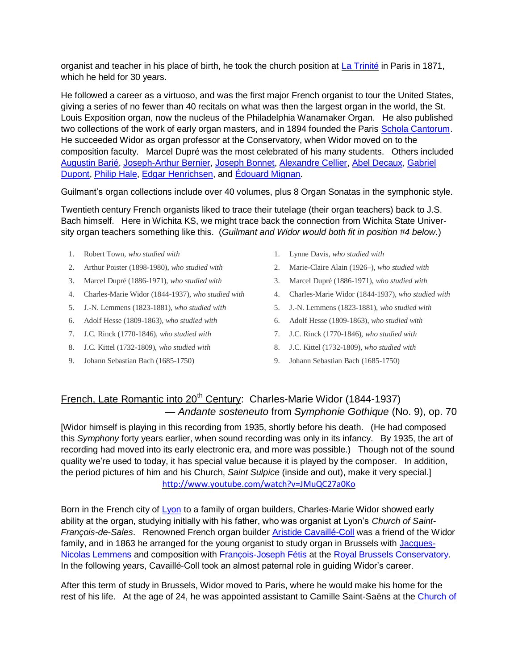organist and teacher in his place of birth, he took the church position at [La Trinité](http://en.wikipedia.org/wiki/Sainte-Trinit%C3%A9,_Paris) in Paris in 1871, which he held for 30 years.

He followed a career as a virtuoso, and was the first major French organist to tour the United States, giving a series of no fewer than 40 recitals on what was then the largest organ in the world, the St. Louis Exposition organ, now the nucleus of the Philadelphia Wanamaker Organ. He also published two collections of the work of early organ masters, and in 1894 founded the Paris [Schola Cantorum.](http://en.wikipedia.org/wiki/Schola_Cantorum) He succeeded Widor as organ professor at the Conservatory, when Widor moved on to the composition faculty. Marcel Dupré was the most celebrated of his many students. Others included [Augustin Barié,](http://en.wikipedia.org/wiki/Augustin_Bari%C3%A9) [Joseph-Arthur Bernier,](http://en.wikipedia.org/wiki/Joseph-Arthur_Bernier) [Joseph Bonnet,](http://en.wikipedia.org/wiki/Joseph_Bonnet) [Alexandre Cellier,](http://en.wikipedia.org/wiki/Alexandre_Cellier) [Abel Decaux,](http://en.wikipedia.org/wiki/Abel_Decaux) [Gabriel](http://en.wikipedia.org/wiki/Gabriel_Dupont)  [Dupont,](http://en.wikipedia.org/wiki/Gabriel_Dupont) [Philip Hale,](http://en.wikipedia.org/wiki/Philip_Hale) [Edgar Henrichsen,](http://en.wikipedia.org/wiki/Edgar_Henrichsen) and [Édouard Mignan.](http://en.wikipedia.org/wiki/%C3%89douard_Mignan)

Guilmant's organ collections include over 40 volumes, plus 8 Organ Sonatas in the symphonic style.

Twentieth century French organists liked to trace their tutelage (their organ teachers) back to J.S. Bach himself. Here in Wichita KS, we might trace back the connection from Wichita State University organ teachers something like this. (*Guilmant and Widor would both fit in position #4 below.*)

- 1. Robert Town, *who studied with*
- 2. Arthur Poister (1898-1980), *who studied with*
- 3. Marcel Dupré (1886-1971), *who studied with*
- 4. Charles-Marie Widor (1844-1937), *who studied with*
- 5. J.-N. Lemmens (1823-1881), *who studied with*
- 6. Adolf Hesse (1809-1863), *who studied with*
- 7. J.C. Rinck (1770-1846), *who studied with*
- 8. J.C. Kittel (1732-1809), *who studied with*
- 9. Johann Sebastian Bach (1685-1750)
- 1. Lynne Davis, *who studied with*
- 2. Marie-Claire Alain (1926–), *who studied with*
- 3. Marcel Dupré (1886-1971), *who studied with*
- 4. Charles-Marie Widor (1844-1937), *who studied with*
- 5. J.-N. Lemmens (1823-1881), *who studied with*
- 6. Adolf Hesse (1809-1863), *who studied with*
- 7. J.C. Rinck (1770-1846), *who studied with*
- 8. J.C. Kittel (1732-1809), *who studied with*
- <span id="page-25-0"></span>9. Johann Sebastian Bach (1685-1750)

## French, Late Romantic into 20<sup>th</sup> Century: Charles-Marie Widor (1844-1937) — *Andante sosteneuto* from *Symphonie Gothique* (No. 9), op. 70

[Widor himself is playing in this recording from 1935, shortly before his death. (He had composed this *Symphony* forty years earlier, when sound recording was only in its infancy. By 1935, the art of recording had moved into its early electronic era, and more was possible.) Though not of the sound quality we're used to today, it has special value because it is played by the composer. In addition, the period pictures of him and his Church, *Saint Sulpice* (inside and out), make it very special.] <http://www.youtube.com/watch?v=JMuQC27a0Ko>

Born in the French city of [Lyon](http://en.wikipedia.org/wiki/Lyon) to a family of organ builders, Charles-Marie Widor showed early ability at the organ, studying initially with his father, who was organist at Lyon's *Church of Saint-François-de-Sales*. Renowned French organ builder [Aristide Cavaillé-Coll](http://en.wikipedia.org/wiki/Aristide_Cavaill%C3%A9-Coll) was a friend of the Widor family, and in 1863 he arranged for the young organist to study organ in Brussels with [Jacques-](http://en.wikipedia.org/wiki/Jacques-Nicolas_Lemmens)[Nicolas Lemmens](http://en.wikipedia.org/wiki/Jacques-Nicolas_Lemmens) and composition with [François-Joseph Fétis](http://en.wikipedia.org/wiki/Fran%C3%A7ois-Joseph_F%C3%A9tis) at the [Royal Brussels Conservatory.](http://en.wikipedia.org/wiki/Koninklijk_Conservatorium_(Brussels)) In the following years, Cavaillé-Coll took an almost paternal role in guiding Widor's career.

After this term of study in Brussels, Widor moved to Paris, where he would make his home for the rest of his life. At the age of 24, he was appointed assistant to Camille Saint-Saëns at the [Church of](http://en.wikipedia.org/wiki/%C3%89glise_de_la_Madeleine)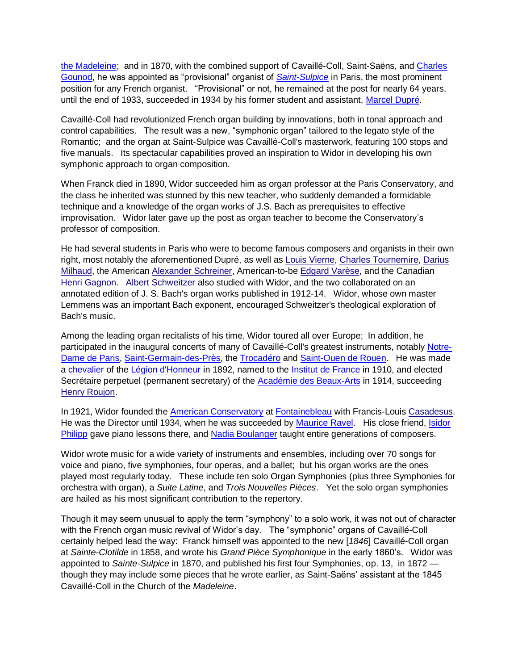the Madeleine; and in 1870, with the combined support of Cavaillé-Coll, Saint-Saëns, and [Charles](http://en.wikipedia.org/wiki/Charles_Gounod)  [Gounod,](http://en.wikipedia.org/wiki/Charles_Gounod) he was appointed as "provisional" organist of *[Saint-Sulpice](http://en.wikipedia.org/wiki/Saint-Sulpice_(Paris))* in Paris, the most prominent position for any French organist. "Provisional" or not, he remained at the post for nearly 64 years, until the end of 1933, succeeded in 1934 by his former student and assistant, [Marcel Dupré.](http://en.wikipedia.org/wiki/Marcel_Dupr%C3%A9)

Cavaillé-Coll had revolutionized French organ building by innovations, both in tonal approach and control capabilities. The result was a new, "symphonic organ" tailored to the legato style of the Romantic; and the organ at Saint-Sulpice was Cavaillé-Coll's masterwork, featuring 100 stops and five manuals. Its spectacular capabilities proved an inspiration to Widor in developing his own symphonic approach to organ composition.

When Franck died in 1890, Widor succeeded him as organ professor at the Paris Conservatory, and the class he inherited was stunned by this new teacher, who suddenly demanded a formidable technique and a knowledge of the organ works of J.S. Bach as prerequisites to effective improvisation. Widor later gave up the post as organ teacher to become the Conservatory's professor of composition.

He had several students in Paris who were to become famous composers and organists in their own right, most notably the aforementioned Dupré, as well as [Louis Vierne,](http://en.wikipedia.org/wiki/Louis_Vierne) [Charles Tournemire,](http://en.wikipedia.org/wiki/Charles_Tournemire) [Darius](http://en.wikipedia.org/wiki/Darius_Milhaud)  [Milhaud,](http://en.wikipedia.org/wiki/Darius_Milhaud) the American [Alexander Schreiner,](http://en.wikipedia.org/wiki/Alexander_Schreiner) American-to-be [Edgard Varèse,](http://en.wikipedia.org/wiki/Edgard_Var%C3%A8se) and the Canadian [Henri Gagnon.](http://en.wikipedia.org/wiki/Henri_Gagnon) [Albert Schweitzer](http://en.wikipedia.org/wiki/Albert_Schweitzer) also studied with Widor, and the two collaborated on an annotated edition of J. S. Bach's organ works published in 1912-14. Widor, whose own master Lemmens was an important Bach exponent, encouraged Schweitzer's theological exploration of Bach's music.

Among the leading organ recitalists of his time, Widor toured all over Europe; In addition, he participated in the inaugural concerts of many of Cavaillé-Coll's greatest instruments, notably [Notre-](http://en.wikipedia.org/wiki/Notre-Dame_de_Paris)[Dame de Paris,](http://en.wikipedia.org/wiki/Notre-Dame_de_Paris) [Saint-Germain-des-Près,](http://en.wikipedia.org/wiki/Abbey_of_Saint-Germain-des-Pr%C3%A9s) the [Trocadéro](http://en.wikipedia.org/wiki/Trocad%C3%A9ro) and [Saint-Ouen de Rouen.](http://en.wikipedia.org/wiki/Church_of_St._Ouen,_Rouen) He was made a [chevalier](http://en.wikipedia.org/wiki/Knight) of the [Légion d'Honneur](http://en.wikipedia.org/wiki/L%C3%A9gion_d%27Honneur) in 1892, named to the [Institut de France](http://en.wikipedia.org/wiki/Institut_de_France) in 1910, and elected Secrétaire perpetuel (permanent secretary) of the [Académie des Beaux-Arts](http://en.wikipedia.org/wiki/Acad%C3%A9mie_des_Beaux-Arts) in 1914, succeeding [Henry Roujon.](http://en.wikipedia.org/wiki/Henry_Roujon)

In 1921, Widor founded the [American Conservatory](http://en.wikipedia.org/wiki/American_Conservatory) at [Fontainebleau](http://en.wikipedia.org/wiki/Fontainebleau) with Francis-Louis [Casadesus.](http://en.wikipedia.org/wiki/Casadesus) He was the Director until 1934, when he was succeeded by [Maurice Ravel.](http://en.wikipedia.org/wiki/Maurice_Ravel) His close friend, [Isidor](http://en.wikipedia.org/wiki/Isidor_Philipp)  [Philipp](http://en.wikipedia.org/wiki/Isidor_Philipp) gave piano lessons there, and [Nadia Boulanger](http://en.wikipedia.org/wiki/Nadia_Boulanger) taught entire generations of composers.

Widor wrote music for a wide variety of instruments and ensembles, including over 70 songs for voice and piano, five symphonies, four operas, and a ballet; but his organ works are the ones played most regularly today. These include ten solo Organ Symphonies (plus three Symphonies for orchestra with organ), a *Suite Latine*, and *Trois Nouvelles Pièces*. Yet the solo organ symphonies are hailed as his most significant contribution to the repertory.

Though it may seem unusual to apply the term "symphony" to a solo work, it was not out of character with the French organ music revival of Widor's day. The "symphonic" organs of Cavaillé-Coll certainly helped lead the way: Franck himself was appointed to the new [*1846*] Cavaillé-Coll organ at *Sainte-Clotilde* in 1858, and wrote his *Grand Pièce Symphonique* in the early 1860's.Widor was appointed to *Sainte-Sulpice* in 1870, and published his first four Symphonies, op. 13, in 1872 though they may include some pieces that he wrote earlier, as Saint-Saëns' assistant at the 1845 Cavaillé-Coll in the Church of the *Madeleine*.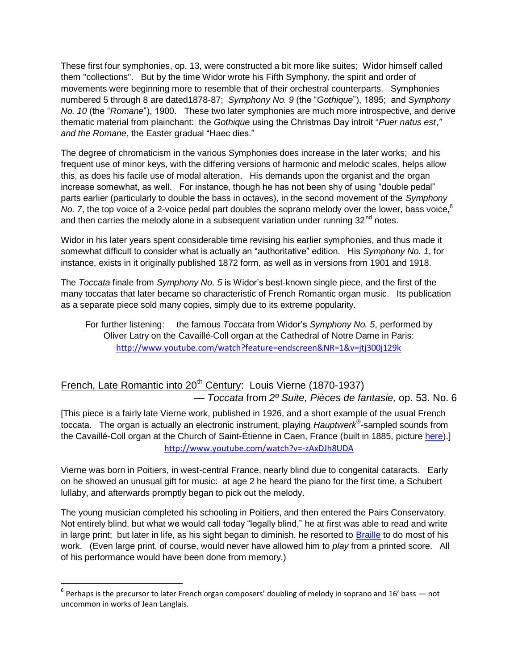These first four symphonies, op. 13, were constructed a bit more like suites; Widor himself called them "collections". But by the time Widor wrote his Fifth Symphony, the spirit and order of movements were beginning more to resemble that of their orchestral counterparts. Symphonies numbered 5 through 8 are dated1878-87; *Symphony No. 9* (the "*Gothique*"), 1895; and *Symphony No. 10* (the "*Romane*"), 1900. These two later symphonies are much more introspective, and derive thematic material from plainchant: the *Gothique* using the Christmas Day introit "Puer natus est," and the Romane, the Easter gradual "Haec dies."

The degree of chromaticism in the various Symphonies does increase in the later works; and his frequent use of minor keys, with the differing versions of harmonic and melodic scales, helps allow this, as does his facile use of modal alteration. His demands upon the organist and the organ increase somewhat, as well. For instance, though he has not been shy of using "double pedal" parts earlier (particularly to double the bass in octaves), in the second movement of the *Symphony*  No. 7, the top voice of a 2-voice pedal part doubles the soprano melody over the lower, bass voice, <sup>6</sup> and then carries the melody alone in a subsequent variation under running  $32<sup>nd</sup>$  notes.

Widor in his later years spent considerable time revising his earlier symphonies, and thus made it somewhat difficult to consider what is actually an "authoritative" edition. His Symphony No. 1, for instance, exists in it originally published 1872 form, as well as in versions from 1901 and 1918.

The *Toccata* finale from *Symphony No. 5* is Widor's best-known single piece, and the first of the many toccatas that later became so characteristic of French Romantic organ music. Its publication as a separate piece sold many copies, simply due to its extreme popularity.

<span id="page-27-0"></span>For further listening: the famous *Toccata* from Widor's *Symphony No. 5*, performed by Oliver Latry on the Cavaillé-Coll organ at the Cathedral of Notre Dame in Paris: <http://www.youtube.com/watch?feature=endscreen&NR=1&v=jtj300j129k>

# French, Late Romantic into 20<sup>th</sup> Century: Louis Vierne (1870-1937) — *Toccata* from *2º Suite, Pièces de fantasie,* op. 53. No. 6

[This piece is a fairly late Vierne work, published in 1926, and a short example of the usual French toccata. The organ is actually an electronic instrument, playing *Hauptwerk*® -sampled sounds from the Cavaillé-Coll organ at the Church of Saint-Étienne in Caen, France (built in 1885, picture [here\)](http://www.flickr.com/photos/44401706@N03/4967306654/).] <http://www.youtube.com/watch?v=-zAxDJh8UDA>

Vierne was born in Poitiers, in west-central France, nearly blind due to congenital cataracts. Early on he showed an unusual gift for music: at age 2 he heard the piano for the first time, a Schubert lullaby, and afterwards promptly began to pick out the melody.

The young musician completed his schooling in Poitiers, and then entered the Pairs Conservatory. Not entirely blind, but what we would call today "legally blind," he at first was able to read and write in large print; but later in life, as his sight began to diminish, he resorted to [Braille](http://en.wikipedia.org/wiki/Braille) to do most of his work. (Even large print, of course, would never have allowed him to *play* from a printed score. All of his performance would have been done from memory.)

 $\overline{a}$ 

 $^6$  Perhaps is the precursor to later French organ composers' doubling of melody in soprano and 16' bass  $-$  not uncommon in works of Jean Langlais.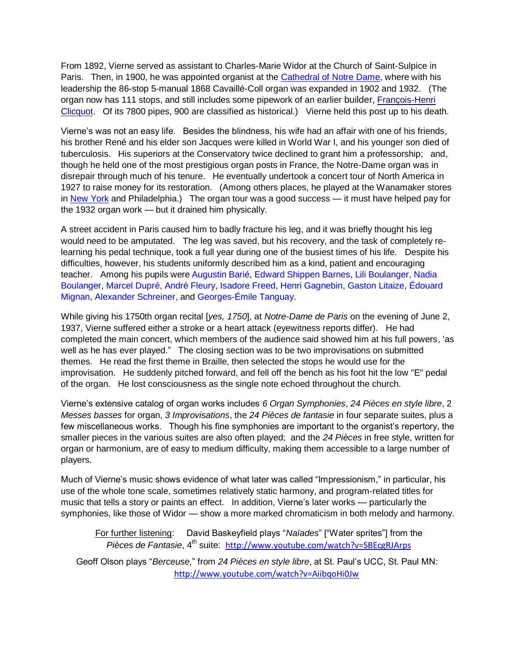From 1892, Vierne served as assistant to Charles-Marie Widor at the Church of Saint-Sulpice in Paris. Then, in 1900, he was appointed organist at the [Cathedral of Notre Dame,](http://en.wikipedia.org/wiki/Notre-Dame_de_Paris#Organ) where with his leadership the 86-stop 5-manual 1868 Cavaillé-Coll organ was expanded in 1902 and 1932. (The organ now has 111 stops, and still includes some pipework of an earlier builder, [François-Henri](http://en.wikipedia.org/wiki/Fran%C3%A7ois-Henri_Clicquot)  [Clicquot.](http://en.wikipedia.org/wiki/Fran%C3%A7ois-Henri_Clicquot) Of its 7800 pipes, 900 are classified as historical.) Vierne held this post up to his death.

Vierne's was not an easy life. Besides the blindness, his wife had an affair with one of his friends, his brother René and his elder son Jacques were killed in World War I, and his younger son died of tuberculosis. His superiors at the Conservatory twice declined to grant him a professorship; and, though he held one of the most prestigious organ posts in France, the Notre-Dame organ was in disrepair through much of his tenure. He eventually undertook a concert tour of North America in 1927 to raise money for its restoration. (Among others places, he played at the Wanamaker stores in [New York](http://www.nycago.org/PHOTOS/VierneL_WanamakerAud_tmb.jpg) and Philadelphia.) The organ tour was a good success — it must have helped pay for the 1932 organ work — but it drained him physically.

A street accident in Paris caused him to badly fracture his leg, and it was briefly thought his leg would need to be amputated. The leg was saved, but his recovery, and the task of completely relearning his pedal technique, took a full year during one of the busiest times of his life. Despite his difficulties, however, his students uniformly described him as a kind, patient and encouraging teacher. Among his pupils were [Augustin Barié,](http://en.wikipedia.org/wiki/Augustin_Bari%C3%A9) [Edward Shippen Barnes,](http://en.wikipedia.org/wiki/Edward_Shippen_Barnes) [Lili Boulanger,](http://en.wikipedia.org/wiki/Lili_Boulanger) [Nadia](http://en.wikipedia.org/wiki/Nadia_Boulanger)  [Boulanger,](http://en.wikipedia.org/wiki/Nadia_Boulanger) [Marcel Dupré,](http://en.wikipedia.org/wiki/Marcel_Dupr%C3%A9) [André Fleury,](http://en.wikipedia.org/wiki/Andr%C3%A9_Fleury_(organist)) [Isadore Freed,](http://en.wikipedia.org/wiki/Isadore_Freed) [Henri Gagnebin,](http://en.wikipedia.org/wiki/Henri_Gagnebin) [Gaston Litaize,](http://en.wikipedia.org/wiki/Gaston_Litaize) [Édouard](http://en.wikipedia.org/wiki/%C3%89douard_Mignan)  [Mignan,](http://en.wikipedia.org/wiki/%C3%89douard_Mignan) [Alexander Schreiner,](http://en.wikipedia.org/wiki/Alexander_Schreiner) and [Georges-Émile Tanguay.](http://en.wikipedia.org/wiki/Georges-%C3%89mile_Tanguay)

While giving his 1750th organ recital [*yes, 1750*], at *Notre-Dame de Paris* on the evening of June 2, 1937, Vierne suffered either a stroke or a heart attack (eyewitness reports differ). He had completed the main concert, which members of the audience said showed him at his full powers, ‗as well as he has ever played." The closing section was to be two improvisations on submitted themes. He read the first theme in Braille, then selected the stops he would use for the improvisation. He suddenly pitched forward, and fell off the bench as his foot hit the low "E" pedal of the organ. He lost consciousness as the single note echoed throughout the church.

Vierne's extensive catalog of organ works includes *6 Organ Symphonies*, *24 Pièces en style libre*, 2 *Messes basses* for organ, *3 Improvisations*, the *24 Pièces de fantasie* in four separate suites, plus a few miscellaneous works. Though his fine symphonies are important to the organist's repertory, the smaller pieces in the various suites are also often played; and the *24 Pièces* in free style, written for organ or harmonium, are of easy to medium difficulty, making them accessible to a large number of players.

Much of Vierne's music shows evidence of what later was called "Impressionism," in particular, his use of the whole tone scale, sometimes relatively static harmony, and program-related titles for music that tells a story or paints an effect. In addition, Vierne's later works — particularly the symphonies, like those of Widor — show a more marked chromaticism in both melody and harmony.

For further listening: David Baskeyfield plays "Naïades" ["Water sprites"] from the *Pièces de Fantasie*, 4<sup>th</sup> suite: <http://www.youtube.com/watch?v=SBEcgRJArps>

Geoff Olson plays ―*Berceuse,*‖ from *24 Pièces en style libre*, at St. Paul's UCC, St. Paul MN: <http://www.youtube.com/watch?v=AiibqoHi0Jw>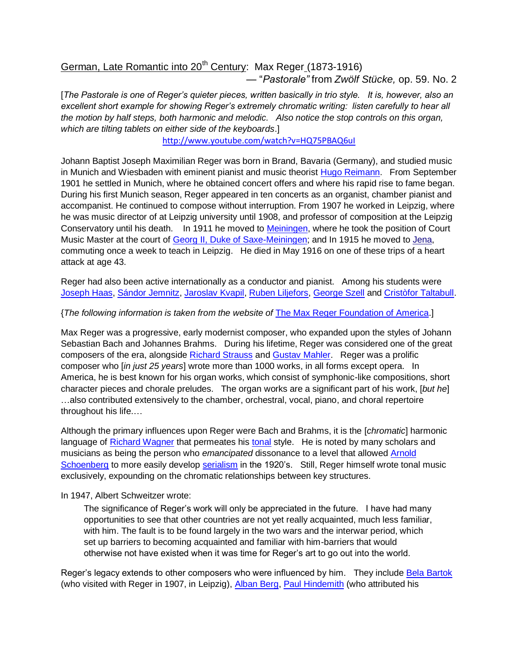# German, Late Romantic into 20<sup>th</sup> Century: Max Reger (1873-1916)

<span id="page-29-0"></span>— ―*Pastorale‖* from *Zwölf Stücke,* op. 59. No. 2

[*The Pastorale is one of Reger's quieter pieces, written basically in trio style. It is, however, also an excellent short example for showing Reger's extremely chromatic writing: listen carefully to hear all the motion by half steps, both harmonic and melodic. Also notice the stop controls on this organ, which are tilting tablets on either side of the keyboards*.]

<http://www.youtube.com/watch?v=HQ75PBAQ6uI>

Johann Baptist Joseph Maximilian Reger was born in Brand, Bavaria (Germany), and studied music in Munich and Wiesbaden with eminent pianist and music theorist [Hugo Reimann.](http://en.wikipedia.org/wiki/Hugo_Riemann) From September 1901 he settled in Munich, where he obtained concert offers and where his rapid rise to fame began. During his first Munich season, Reger appeared in ten concerts as an organist, chamber pianist and accompanist. He continued to compose without interruption. From 1907 he worked in Leipzig, where he was music director of at Leipzig university until 1908, and professor of composition at the Leipzig Conservatory until his death. In 1911 he moved to [Meiningen,](http://en.wikipedia.org/wiki/Meiningen) where he took the position of Court Music Master at the court of [Georg II, Duke of Saxe-Meiningen;](http://en.wikipedia.org/wiki/Georg_II,_Duke_of_Saxe-Meiningen) and In 1915 he moved to [Jena,](http://en.wikipedia.org/wiki/Jena) commuting once a week to teach in Leipzig. He died in May 1916 on one of these trips of a heart attack at age 43.

Reger had also been active internationally as a conductor and pianist. Among his students were [Joseph Haas,](http://en.wikipedia.org/wiki/Joseph_Haas) [Sándor Jemnitz,](http://en.wikipedia.org/wiki/S%C3%A1ndor_Jemnitz) [Jaroslav Kvapil,](http://en.wikipedia.org/wiki/Jaroslav_Kvapil_(composer)) [Ruben Liljefors,](http://en.wikipedia.org/wiki/Ruben_Liljefors) [George Szell](http://en.wikipedia.org/wiki/George_Szell) and [Cristòfor Taltabull.](http://ca.wikipedia.org/wiki/Crist%C3%B2for_Taltabull_i_Balaguer)

#### {*The following information is taken from the website of* [The Max Reger Foundation of America.](http://www.maxreger.org/max.html)]

Max Reger was a progressive, early modernist composer, who expanded upon the styles of Johann Sebastian Bach and Johannes Brahms. During his lifetime, Reger was considered one of the great composers of the era, alongside [Richard Strauss](http://en.wikipedia.org/wiki/Richard_Strauss) and [Gustav Mahler.](http://en.wikipedia.org/wiki/Gustav_Mahler) Reger was a prolific composer who [*in just 25 years*] wrote more than 1000 works, in all forms except opera. In America, he is best known for his organ works, which consist of symphonic-like compositions, short character pieces and chorale preludes. The organ works are a significant part of his work, [*but he*] …also contributed extensively to the chamber, orchestral, vocal, piano, and choral repertoire throughout his life.…

Although the primary influences upon Reger were Bach and Brahms, it is the [*chromatic*] harmonic language of [Richard Wagner](http://en.wikipedia.org/wiki/Richard_Wagner) that permeates his [tonal](http://en.wikipedia.org/wiki/Tonality) style. He is noted by many scholars and musicians as being the person who *emancipated* dissonance to a level that allowed [Arnold](http://en.wikipedia.org/wiki/Arnold_Schoenberg)  [Schoenberg](http://en.wikipedia.org/wiki/Arnold_Schoenberg) to more easily develop [serialism](http://en.wikipedia.org/wiki/Serialism) in the 1920's. Still, Reger himself wrote tonal music exclusively, expounding on the chromatic relationships between key structures.

#### In 1947, Albert Schweitzer wrote:

The significance of Reger's work will only be appreciated in the future. I have had many opportunities to see that other countries are not yet really acquainted, much less familiar, with him. The fault is to be found largely in the two wars and the interwar period, which set up barriers to becoming acquainted and familiar with him-barriers that would otherwise not have existed when it was time for Reger's art to go out into the world.

Reger's legacy extends to other composers who were influenced by him. They include [Bela Bartok](http://en.wikipedia.org/wiki/B%C3%A9la_Bart%C3%B3k) (who visited with Reger in 1907, in Leipzig), [Alban Berg,](http://en.wikipedia.org/wiki/Alban_Berg) [Paul Hindemith](http://en.wikipedia.org/wiki/Paul_Hindemith) (who attributed his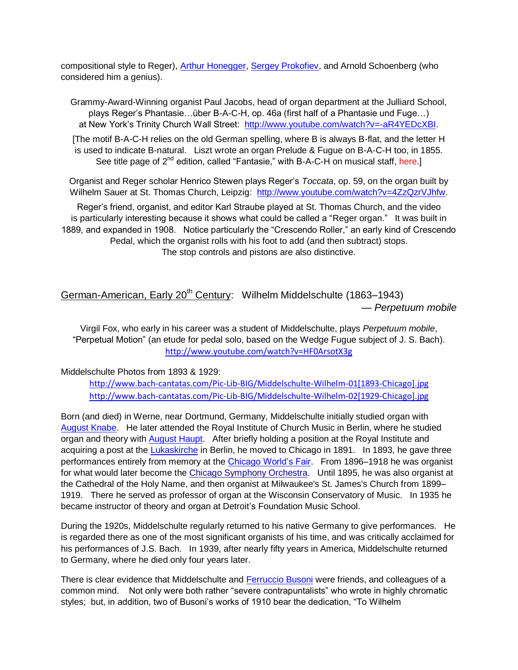compositional style to Reger), [Arthur Honegger,](http://en.wikipedia.org/wiki/Arthur_Honegger) [Sergey Prokofiev,](http://en.wikipedia.org/wiki/Sergei_Prokofiev) and Arnold Schoenberg (who considered him a genius).

Grammy-Award-Winning organist Paul Jacobs, head of organ department at the Julliard School, plays Reger's Phantasie…über B-A-C-H, op. 46a (first half of a Phantasie und Fuge…) at New York's Trinity Church Wall Street: [http://www.youtube.com/watch?v=-aR4YEDcXBI.](http://www.youtube.com/watch?v=-aR4YEDcXBI)

[The motif B-A-C-H relies on the old German spelling, where B is always B-flat, and the letter H is used to indicate B-natural. Liszt wrote an organ Prelude & Fugue on B-A-C-H too, in 1855. See title page of  $2^{nd}$  edition, called "Fantasie," with B-A-C-H on musical staff, here.]

Organist and Reger scholar Henrico Stewen plays Reger's *Toccata*, op. 59, on the organ built by Wilhelm Sauer at St. Thomas Church, Leipzig: [http://www.youtube.com/watch?v=4ZzQzrVJhfw.](http://www.youtube.com/watch?v=4ZzQzrVJhfw)

Reger's friend, organist, and editor Karl Straube played at St. Thomas Church, and the video is particularly interesting because it shows what could be called a "Reger organ." It was built in 1889, and expanded in 1908. Notice particularly the "Crescendo Roller," an early kind of Crescendo Pedal, which the organist rolls with his foot to add (and then subtract) stops. The stop controls and pistons are also distinctive.

# German-American, Early 20<sup>th</sup> Century: Wilhelm Middelschulte (1863–1943) — *Perpetuum mobile*

<span id="page-30-0"></span>Virgil Fox, who early in his career was a student of Middelschulte, plays *Perpetuum mobile*, ―Perpetual Motion‖ (an etude for pedal solo, based on the Wedge Fugue subject of J. S. Bach). <http://www.youtube.com/watch?v=HF0ArsotX3g>

Middelschulte Photos from 1893 & 1929:

[http://www.bach-cantatas.com/Pic-Lib-BIG/Middelschulte-Wilhelm-01\[1893-Chicago\].jpg](http://www.bach-cantatas.com/Pic-Lib-BIG/Middelschulte-Wilhelm-01%5b1893-Chicago%5d.jpg) [http://www.bach-cantatas.com/Pic-Lib-BIG/Middelschulte-Wilhelm-02\[1929-Chicago\].jpg](http://www.bach-cantatas.com/Pic-Lib-BIG/Middelschulte-Wilhelm-02%5b1929-Chicago%5d.jpg)

Born (and died) in Werne, near Dortmund, Germany, Middelschulte initially studied organ with [August Knabe.](http://de.wikipedia.org/wiki/August_Knabe) He later attended the Royal Institute of Church Music in Berlin, where he studied organ and theory with [August Haupt.](http://en.wikipedia.org/wiki/Carl_August_Haupt) After briefly holding a position at the Royal Institute and acquiring a post at the [Lukaskirche](http://de.wikipedia.org/wiki/Lukaskirche_(Berlin)) in Berlin, he moved to Chicago in 1891. In 1893, he gave three performances entirely from memory at the [Chicago World's Fair.](http://en.wikipedia.org/wiki/World) From 1896–1918 he was organist for what would later become the [Chicago Symphony Orchestra.](http://en.wikipedia.org/wiki/Chicago_Symphony_Orchestra) Until 1895, he was also organist at the Cathedral of the Holy Name, and then organist at Milwaukee's St. James's Church from 1899– 1919. There he served as professor of organ at the Wisconsin Conservatory of Music. In 1935 he became instructor of theory and organ at Detroit's Foundation Music School.

During the 1920s, Middelschulte regularly returned to his native Germany to give performances. He is regarded there as one of the most significant organists of his time, and was critically acclaimed for his performances of J.S. Bach. In 1939, after nearly fifty years in America, Middelschulte returned to Germany, where he died only four years later.

There is clear evidence that Middelschulte and [Ferruccio Busoni](http://en.wikipedia.org/wiki/Ferruccio_Busoni) were friends, and colleagues of a common mind. Not only were both rather "severe contrapuntalists" who wrote in highly chromatic styles; but, in addition, two of Busoni's works of 1910 bear the dedication, "To Wilhelm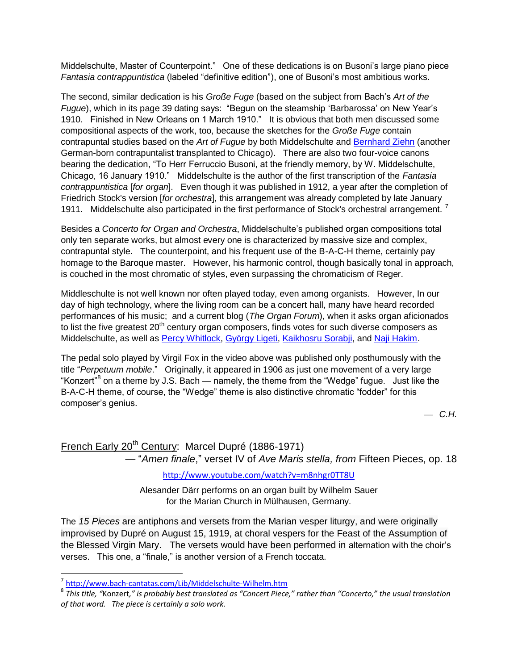Middelschulte, Master of Counterpoint.‖ One of these dedications is on Busoni's large piano piece Fantasia contrappuntistica (labeled "definitive edition"), one of Busoni's most ambitious works.

The second, similar dedication is his *Große Fuge* (based on the subject from Bach's *Art of the Fugue*), which in its page 39 dating says: "Begun on the steamship 'Barbarossa' on New Year's 1910. Finished in New Orleans on 1 March 1910." It is obvious that both men discussed some compositional aspects of the work, too, because the sketches for the *Große Fuge* contain contrapuntal studies based on the *Art of Fugue* by both Middelschulte and [Bernhard Ziehn](http://de.wikipedia.org/wiki/Bernhard_Ziehn) (another German-born contrapuntalist transplanted to Chicago). There are also two four-voice canons bearing the dedication, "To Herr Ferruccio Busoni, at the friendly memory, by W. Middelschulte, Chicago, 16 January 1910.‖ Middelschulte is the author of the first transcription of the *Fantasia contrappuntistica* [*for organ*]. Even though it was published in 1912, a year after the completion of Friedrich Stock's version [*for orchestra*], this arrangement was already completed by late January 1911. Middelschulte also participated in the first performance of Stock's orchestral arrangement.<sup>7</sup>

Besides a *Concerto for Organ and Orchestra*, Middelschulte's published organ compositions total only ten separate works, but almost every one is characterized by massive size and complex, contrapuntal style. The counterpoint, and his frequent use of the B-A-C-H theme, certainly pay homage to the Baroque master. However, his harmonic control, though basically tonal in approach, is couched in the most chromatic of styles, even surpassing the chromaticism of Reger.

Middleschulte is not well known nor often played today, even among organists. However, In our day of high technology, where the living room can be a concert hall, many have heard recorded performances of his music; and a current blog (*The Organ Forum*), when it asks organ aficionados to list the five greatest  $20<sup>th</sup>$  century organ composers, finds votes for such diverse composers as Middelschulte, as well as [Percy Whitlock,](http://en.wikipedia.org/wiki/Percy_Whitlock) [György Ligeti,](http://en.wikipedia.org/wiki/Gy%C3%B6rgy_Ligeti) [Kaikhosru Sorabji,](http://en.wikipedia.org/wiki/List_of_compositions_by_Kaikhosru_Shapurji_Sorabji) and [Naji Hakim.](http://en.wikipedia.org/wiki/Naji_Hakim)

The pedal solo played by Virgil Fox in the video above was published only posthumously with the title "Perpetuum mobile." Originally, it appeared in 1906 as just one movement of a very large "Konzert"<sup>8</sup> on a theme by J.S. Bach — namely, the theme from the "Wedge" fugue. Just like the B-A-C-H theme, of course, the "Wedge" theme is also distinctive chromatic "fodder" for this composer's genius.

— *C.H.*

# French Early 20<sup>th</sup> Century: Marcel Dupré (1886-1971) — ―*Amen finale*,‖ verset IV of *Ave Maris stella, from* Fifteen Pieces, op. 18

<span id="page-31-0"></span><http://www.youtube.com/watch?v=m8nhgr0TT8U>

Alesander Därr performs on an organ built by Wilhelm Sauer for the Marian Church in Mülhausen, Germany.

The *15 Pieces* are antiphons and versets from the Marian vesper liturgy, and were originally improvised by Dupré on August 15, 1919, at choral vespers for the Feast of the Assumption of the Blessed Virgin Mary. The versets would have been performed in alternation with the choir's verses. This one, a "finale," is another version of a French toccata.

 $\overline{\phantom{a}}$ 

<sup>&</sup>lt;sup>7</sup> <http://www.bach-cantatas.com/Lib/Middelschulte-Wilhelm.htm>

<sup>8</sup> *This title, "*Konzert*," is probably best translated as "Concert Piece," rather than "Concerto," the usual translation of that word. The piece is certainly a solo work.*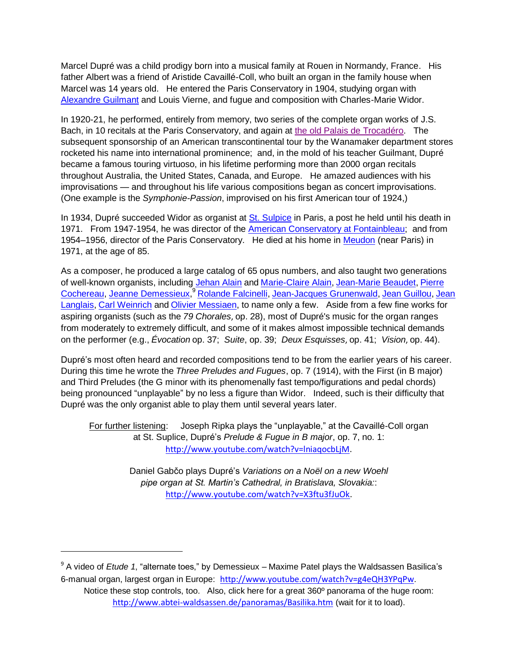Marcel Dupré was a child prodigy born into a musical family at Rouen in Normandy, France. His father Albert was a friend of Aristide Cavaillé-Coll, who built an organ in the family house when Marcel was 14 years old. He entered the Paris Conservatory in 1904, studying organ with [Alexandre Guilmant](http://en.wikipedia.org/wiki/Alexandre_Guilmant) and Louis Vierne, and fugue and composition with Charles-Marie Widor.

In 1920-21, he performed, entirely from memory, two series of the complete organ works of J.S. Bach, in 10 recitals at the Paris Conservatory, and again at [the old Palais de Trocadéro.](http://en.wikipedia.org/wiki/Trocad%C3%A9ro#The_old_Palais_du_Trocad.C3.A9ro) The subsequent sponsorship of an American transcontinental tour by the Wanamaker department stores rocketed his name into international prominence; and, in the mold of his teacher Guilmant, Dupré became a famous touring virtuoso, in his lifetime performing more than 2000 organ recitals throughout Australia, the United States, Canada, and Europe. He amazed audiences with his improvisations — and throughout his life various compositions began as concert improvisations. (One example is the *Symphonie-Passion*, improvised on his first American tour of 1924,)

In 1934, Dupré succeeded Widor as organist at [St. Sulpice](http://en.wikipedia.org/wiki/%C3%89glise_Saint-Sulpice,_Paris) in Paris, a post he held until his death in 1971. From 1947-1954, he was director of the [American Conservatory at Fontainbleau;](http://en.wikipedia.org/wiki/Ch%C3%A2teau_de_Fontainebleau) and from 1954–1956, director of the Paris Conservatory. He died at his home in Meudon (near Paris) in 1971, at the age of 85.

As a composer, he produced a large catalog of 65 opus numbers, and also taught two generations of well-known organists, including [Jehan Alain](http://en.wikipedia.org/wiki/Jehan_Alain) and [Marie-Claire Alain,](http://en.wikipedia.org/wiki/Marie-Claire_Alain) [Jean-Marie Beaudet,](http://en.wikipedia.org/wiki/Jean-Marie_Beaudet) Pierre [Cochereau,](http://en.wikipedia.org/wiki/Pierre_Cochereau) [Jeanne Demessieux,](http://en.wikipedia.org/wiki/Jeanne_Demessieux) <sup>9</sup> [Rolande Falcinelli,](http://en.wikipedia.org/wiki/Rolande_Falcinelli) [Jean-Jacques Grunenwald,](http://en.wikipedia.org/wiki/Jean-Jacques_Grunenwald) [Jean Guillou,](http://en.wikipedia.org/wiki/Jean_Guillou) Jean [Langlais,](http://en.wikipedia.org/wiki/Jean_Langlais) [Carl Weinrich](http://en.wikipedia.org/wiki/Carl_Weinrich) and [Olivier Messiaen,](http://en.wikipedia.org/wiki/Olivier_Messiaen) to name only a few. Aside from a few fine works for aspiring organists (such as the *79 Chorales*, op. 28), most of Dupré's music for the organ ranges from moderately to extremely difficult, and some of it makes almost impossible technical demands on the performer (e.g., *Évocation* op. 37; *Suite*, op. 39; *Deux Esquisses*, op. 41; *Vision*, op. 44).

Dupré's most often heard and recorded compositions tend to be from the earlier years of his career. During this time he wrote the *Three Preludes and Fugues*, op. 7 (1914), with the First (in B major) and Third Preludes (the G minor with its phenomenally fast tempo/figurations and pedal chords) being pronounced "unplayable" by no less a figure than Widor. Indeed, such is their difficulty that Dupré was the only organist able to play them until several years later.

For further listening: Joseph Ripka plays the "unplayable," at the Cavaillé-Coll organ at St. Suplice, Dupré's *Prelude & Fugue in B major*, op. 7, no. 1: [http://www.youtube.com/watch?v=lniaqocbLjM.](http://www.youtube.com/watch?v=lniaqocbLjM)

> Daniel Gabčo plays Dupré's *Variations on a Noël on a new Woehl pipe organ at St. Martin's Cathedral, in Bratislava, Slovakia:*: [http://www.youtube.com/watch?v=X3ftu3fJuOk.](http://www.youtube.com/watch?v=X3ftu3fJuOk)

<sup>9</sup> A video of *Etude 1*, "alternate toes," by Demessieux – Maxime Patel plays the Waldsassen Basilica's 6-manual organ, largest organ in Europe: <http://www.youtube.com/watch?v=g4eQH3YPqPw>.

 $\overline{a}$ 

Notice these stop controls, too. Also, click here for a great 360º panorama of the huge room: <http://www.abtei-waldsassen.de/panoramas/Basilika.htm> (wait for it to load).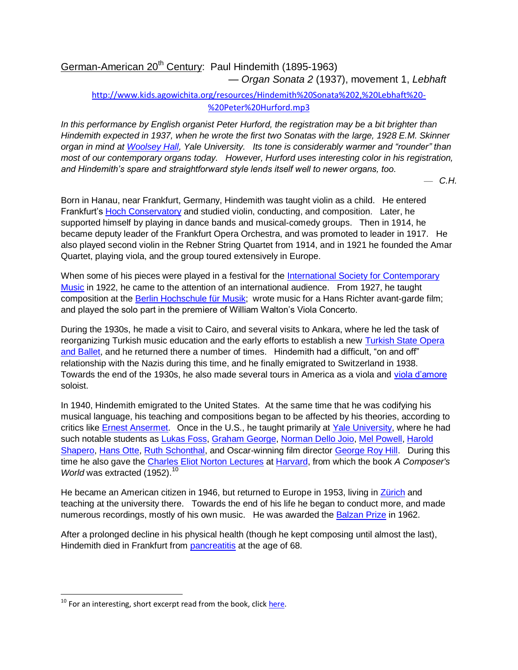## German-American 20<sup>th</sup> Century: Paul Hindemith (1895-1963) — *Organ Sonata 2* (1937), movement 1, *Lebhaft*

### <span id="page-33-0"></span>[http://www.kids.agowichita.org/resources/Hindemith%20Sonata%202,%20Lebhaft%20-](http://www.kids.agowichita.org/resources/Hindemith%20Sonata%202,%20Lebhaft%20-%20Peter%20Hurford.mp3) [%20Peter%20Hurford.mp3](http://www.kids.agowichita.org/resources/Hindemith%20Sonata%202,%20Lebhaft%20-%20Peter%20Hurford.mp3)

*In this performance by English organist Peter Hurford, the registration may be a bit brighter than Hindemith expected in 1937, when he wrote the first two Sonatas with the large, 1928 E.M. Skinner organ in mind at [Woolsey Hall,](http://www.yale.edu/ism/organ_atyale/newberryspec.htm) Yale University. Its tone is considerably warmer and "rounder" than most of our contemporary organs today. However, Hurford uses interesting color in his registration, and Hindemith's spare and straightforward style lends itself well to newer organs, too.* 

— *C.H.*

Born in Hanau, near Frankfurt, Germany, Hindemith was taught violin as a child. He entered Frankfurt's [Hoch Conservatory](http://en.wikipedia.org/wiki/Hoch_Conservatory) and studied violin, conducting, and composition. Later, he supported himself by playing in dance bands and musical-comedy groups. Then in 1914, he became deputy leader of the Frankfurt Opera Orchestra, and was promoted to leader in 1917. He also played second violin in the Rebner String Quartet from 1914, and in 1921 he founded the Amar Quartet, playing viola, and the group toured extensively in Europe.

When some of his pieces were played in a festival for the International Society for Contemporary [Music](http://en.wikipedia.org/wiki/International_Society_for_Contemporary_Music) in 1922, he came to the attention of an international audience. From 1927, he taught composition at the [Berlin Hochschule für Musik;](http://en.wikipedia.org/wiki/Berlin_University_of_the_Arts) wrote music for a Hans Richter avant-garde film; and played the solo part in the premiere of William Walton's Viola Concerto.

During the 1930s, he made a visit to Cairo, and several visits to Ankara, where he led the task of reorganizing Turkish music education and the early efforts to establish a new Turkish State Opera [and Ballet,](http://en.wikipedia.org/wiki/Turkish_State_Opera_and_Ballet) and he returned there a number of times. Hindemith had a difficult, "on and off" relationship with the Nazis during this time, and he finally emigrated to Switzerland in 1938. Towards the end of the 1930s, he also made several tours in America as a viola and [viola d'amore](http://en.wikipedia.org/wiki/Viola_d%27amore) soloist.

In 1940, Hindemith emigrated to the United States. At the same time that he was codifying his musical language, his teaching and compositions began to be affected by his theories, according to critics like [Ernest Ansermet.](http://en.wikipedia.org/wiki/Ernest_Ansermet) Once in the U.S., he taught primarily at [Yale University,](http://en.wikipedia.org/wiki/Yale_University) where he had such notable students as [Lukas Foss,](http://en.wikipedia.org/wiki/Lukas_Foss) [Graham George,](http://en.wikipedia.org/wiki/Graham_George) [Norman Dello Joio,](http://en.wikipedia.org/wiki/Norman_Dello_Joio) [Mel Powell,](http://en.wikipedia.org/wiki/Mel_Powell) [Harold](http://en.wikipedia.org/wiki/Harold_Shapero)  [Shapero,](http://en.wikipedia.org/wiki/Harold_Shapero) [Hans Otte,](http://en.wikipedia.org/wiki/Hans_Otte) [Ruth Schonthal,](http://en.wikipedia.org/wiki/Ruth_Schonthal) and Oscar-winning film director [George Roy Hill.](http://en.wikipedia.org/wiki/George_Roy_Hill) During this time he also gave the [Charles Eliot Norton Lectures](http://en.wikipedia.org/wiki/Charles_Eliot_Norton_Lectures) at [Harvard,](http://en.wikipedia.org/wiki/Harvard) from which the book *A Composer's World* was extracted (1952).<sup>10</sup>

He became an American citizen in 1946, but returned to Europe in 1953, living in [Zürich](http://en.wikipedia.org/wiki/Z%C3%BCrich) and teaching at the university there. Towards the end of his life he began to conduct more, and made numerous recordings, mostly of his own music. He was awarded the [Balzan Prize](http://en.wikipedia.org/wiki/Balzan_Prize) in 1962.

After a prolonged decline in his physical health (though he kept composing until almost the last), Hindemith died in Frankfurt from [pancreatitis](http://en.wikipedia.org/wiki/Pancreatitis) at the age of 68.

 $\overline{\phantom{a}}$ 

 $10$  For an interesting, short excerpt read from the book, clic[k here.](http://www.youtube.com/watch?v=rQ-Txu5ew98)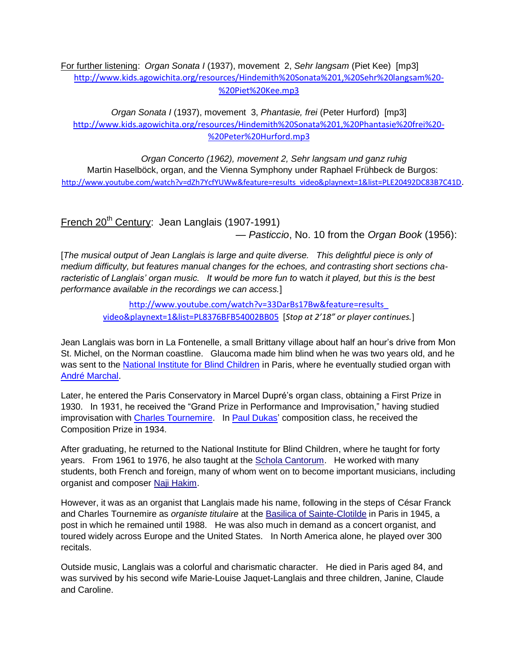For further listening: *Organ Sonata I* (1937), movement 2, *Sehr langsam* (Piet Kee) [mp3] [http://www.kids.agowichita.org/resources/Hindemith%20Sonata%201,%20Sehr%20langsam%20-](http://www.kids.agowichita.org/resources/Hindemith%20Sonata%201,%20Sehr%20langsam%20-%20Piet%20Kee.mp3) [%20Piet%20Kee.mp3](http://www.kids.agowichita.org/resources/Hindemith%20Sonata%201,%20Sehr%20langsam%20-%20Piet%20Kee.mp3)

*Organ Sonata I* (1937), movement 3, *Phantasie, frei* (Peter Hurford) [mp3] [http://www.kids.agowichita.org/resources/Hindemith%20Sonata%201,%20Phantasie%20frei%20-](http://www.kids.agowichita.org/resources/Hindemith%20Sonata%201,%20Phantasie%20frei%20-%20Peter%20Hurford.mp3) [%20Peter%20Hurford.mp3](http://www.kids.agowichita.org/resources/Hindemith%20Sonata%201,%20Phantasie%20frei%20-%20Peter%20Hurford.mp3)

*Organ Concerto (1962), movement 2, Sehr langsam und ganz ruhig* Martin Haselböck, organ, and the Vienna Symphony under Raphael Frühbeck de Burgos: [http://www.youtube.com/watch?v=dZh7YcfYUWw&feature=results\\_video&playnext=1&list=PLE20492DC83B7C41D](http://www.youtube.com/watch?v=dZh7YcfYUWw&feature=results_video&playnext=1&list=PLE20492DC83B7C41D).

<span id="page-34-0"></span>French 20<sup>th</sup> Century: Jean Langlais (1907-1991) — *Pasticcio*, No. 10 from the *Organ Book* (1956):

[*The musical output of Jean Langlais is large and quite diverse. This delightful piece is only of medium difficulty, but features manual changes for the echoes, and contrasting short sections characteristic of Langlais' organ music. It would be more fun to* watch *it played, but this is the best performance available in the recordings we can access.*]

> [http://www.youtube.com/watch?v=33DarBs17Bw&feature=results\\_](http://www.youtube.com/watch?v=33DarBs17Bw&feature=results_%0bvideo&playnext=1&list=PL8376BFB54002BB05) [video&playnext=1&list=PL8376BFB54002BB05](http://www.youtube.com/watch?v=33DarBs17Bw&feature=results_%0bvideo&playnext=1&list=PL8376BFB54002BB05) [*Stop at 2'18" or player continues.*]

Jean Langlais was born in La Fontenelle, a small Brittany village about half an hour's drive from Mon St. Michel, on the Norman coastline. Glaucoma made him blind when he was two years old, and he was sent to the [National Institute for Blind Children](http://en.wikipedia.org/wiki/Institut_National_des_Jeunes_Aveugles) in Paris, where he eventually studied organ with [André Marchal.](http://en.wikipedia.org/wiki/Andr%C3%A9_Marchal)

Later, he entered the Paris Conservatory in Marcel Dupré's organ class, obtaining a First Prize in 1930. In 1931, he received the "Grand Prize in Performance and Improvisation," having studied improvisation with [Charles Tournemire.](http://en.wikipedia.org/wiki/Charles_Tournemire) In [Paul Dukas'](http://en.wikipedia.org/wiki/Paul_Dukas) composition class, he received the Composition Prize in 1934.

After graduating, he returned to the National Institute for Blind Children, where he taught for forty years. From 1961 to 1976, he also taught at the [Schola Cantorum.](http://en.wikipedia.org/wiki/Schola_Cantorum_de_Paris) He worked with many students, both French and foreign, many of whom went on to become important musicians, including organist and composer [Naji Hakim.](http://en.wikipedia.org/wiki/Naji_Hakim)

However, it was as an organist that Langlais made his name, following in the steps of César Franck and Charles Tournemire as *organiste titulaire* at the [Basilica of Sainte-Clotilde](http://en.wikipedia.org/wiki/Sainte-Clotilde,_Paris) in Paris in 1945, a post in which he remained until 1988. He was also much in demand as a concert organist, and toured widely across Europe and the United States. In North America alone, he played over 300 recitals.

Outside music, Langlais was a colorful and charismatic character. He died in Paris aged 84, and was survived by his second wife Marie-Louise Jaquet-Langlais and three children, Janine, Claude and Caroline.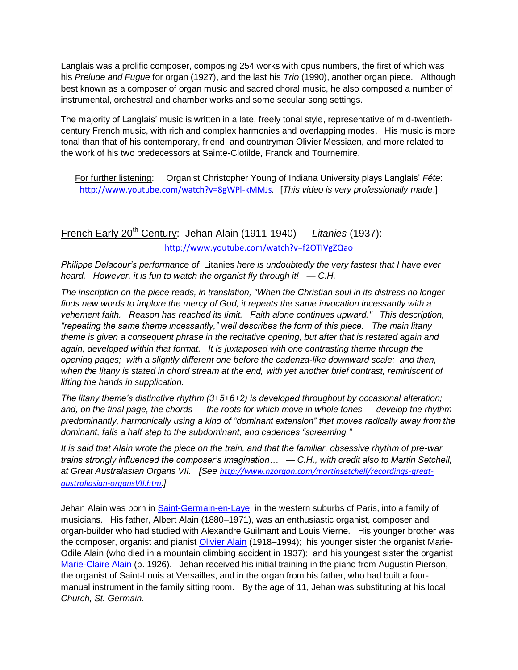Langlais was a prolific composer, composing 254 works with opus numbers, the first of which was his *Prelude and Fugue* for organ (1927), and the last his *Trio* (1990), another organ piece. Although best known as a composer of organ music and sacred choral music, he also composed a number of instrumental, orchestral and chamber works and some secular song settings.

The majority of Langlais' music is written in a late, freely tonal style, representative of mid-twentiethcentury French music, with rich and complex harmonies and overlapping modes. His music is more tonal than that of his contemporary, friend, and countryman Olivier Messiaen, and more related to the work of his two predecessors at Sainte-Clotilde, Franck and Tournemire.

<span id="page-35-0"></span>For further listening: Organist Christopher Young of Indiana University plays Langlais' *Féte*: [http://www.youtube.com/watch?v=8gWPl-kMMJs.](http://www.youtube.com/watch?v=8gWPl-kMMJs) [*This video is very professionally made*.]

French Early 20<sup>th</sup> Century: Jehan Alain (1911-1940) — *Litanies* (1937): <http://www.youtube.com/watch?v=f2OTIVgZQao>

*Philippe Delacour's performance of* Litanies *here is undoubtedly the very fastest that I have ever heard. However, it is fun to watch the organist fly through it! — C.H.*

*The inscription on the piece reads, in translation, "When the Christian soul in its distress no longer finds new words to implore the mercy of God, it repeats the same invocation incessantly with a vehement faith. Reason has reached its limit. Faith alone continues upward." This description, ―repeating the same theme incessantly,‖ well describes the form of this piece. The main litany theme is given a consequent phrase in the recitative opening, but after that is restated again and again, developed within that format. It is juxtaposed with one contrasting theme through the opening pages; with a slightly different one before the cadenza-like downward scale; and then, when the litany is stated in chord stream at the end, with yet another brief contrast, reminiscent of lifting the hands in supplication.* 

*The litany theme's distinctive rhythm (3+5+6+2) is developed throughout by occasional alteration; and, on the final page, the chords — the roots for which move in whole tones — develop the rhythm*  predominantly, harmonically using a kind of "dominant extension" that moves radically away from the *dominant, falls a half step to the subdominant, and cadences "screaming."* 

*It is said that Alain wrote the piece on the train, and that the familiar, obsessive rhythm of pre-war trains strongly influenced the composer's imagination… — C.H., with credit also to Martin Setchell, at Great Australasian Organs VII. [See [http://www.nzorgan.com/martinsetchell/recordings-great](http://www.nzorgan.com/martinsetchell/recordings-great-australiasian-organsVII.htm)[australiasian-organsVII.htm.](http://www.nzorgan.com/martinsetchell/recordings-great-australiasian-organsVII.htm)]*

Jehan Alain was born in [Saint-Germain-en-Laye,](http://en.wikipedia.org/wiki/Saint-Germain-en-Laye) in the western suburbs of Paris, into a family of musicians. His father, Albert Alain (1880–1971), was an enthusiastic organist, composer and organ-builder who had studied with Alexandre Guilmant and Louis Vierne. His younger brother was the composer, organist and pianist [Olivier Alain](http://en.wikipedia.org/wiki/Olivier_Alain) (1918–1994); his younger sister the organist Marie-Odile Alain (who died in a mountain climbing accident in 1937); and his youngest sister the organist [Marie-Claire Alain](http://en.wikipedia.org/wiki/Marie-Claire_Alain) (b. 1926). Jehan received his initial training in the piano from Augustin Pierson, the organist of Saint-Louis at Versailles, and in the organ from his father, who had built a fourmanual instrument in the family sitting room. By the age of 11, Jehan was substituting at his local *Church, St. Germain*.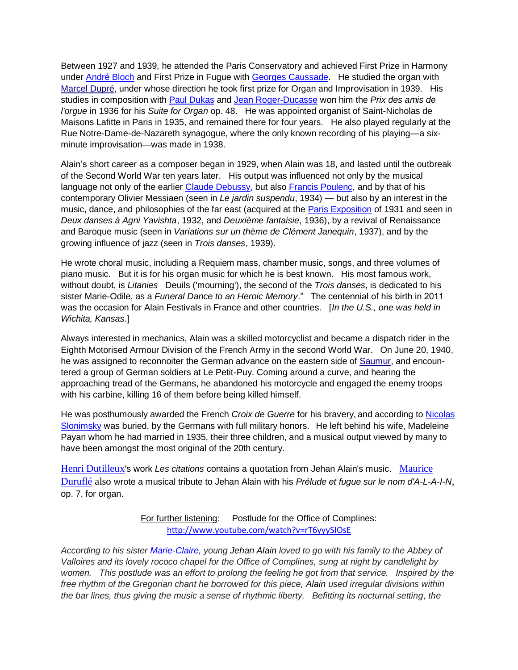Between 1927 and 1939, he attended the Paris Conservatory and achieved First Prize in Harmony under [André Bloch](http://en.wikipedia.org/wiki/Andr%C3%A9_Bloch_(composer)) and First Prize in Fugue with [Georges Caussade.](http://en.wikipedia.org/wiki/Georges_Caussade) He studied the organ with [Marcel Dupré,](http://en.wikipedia.org/wiki/Marcel_Dupr%C3%A9) under whose direction he took first prize for Organ and Improvisation in 1939. His studies in composition with [Paul Dukas](http://en.wikipedia.org/wiki/Paul_Dukas) and [Jean Roger-Ducasse](http://en.wikipedia.org/wiki/Jean_Roger-Ducasse) won him the *Prix des amis de l'orgue* in 1936 for his *Suite for Organ* op. 48. He was appointed organist of Saint-Nicholas de Maisons Lafitte in Paris in 1935, and remained there for four years. He also played regularly at the Rue Notre-Dame-de-Nazareth synagogue, where the only known recording of his playing—a sixminute improvisation—was made in 1938.

Alain's short career as a composer began in 1929, when Alain was 18, and lasted until the outbreak of the Second World War ten years later. His output was influenced not only by the musical language not only of the earlier [Claude Debussy,](http://en.wikipedia.org/wiki/Claude_Debussy) but also [Francis Poulenc,](http://en.wikipedia.org/wiki/Francis_Poulenc) and by that of his contemporary Olivier Messiaen (seen in *Le jardin suspendu*, 1934) — but also by an interest in the music, dance, and philosophies of the far east (acquired at the [Paris Exposition](http://en.wikipedia.org/wiki/Exposition_coloniale_internationale) of 1931 and seen in *Deux danses à Agni Yavishta*, 1932, and *Deuxième fantaisie*, 1936), by a revival of Renaissance and Baroque music (seen in *Variations sur un thème de Clément Janequin*, 1937), and by the growing influence of jazz (seen in *Trois danses*, 1939).

He wrote choral music, including a Requiem mass, chamber music, songs, and three volumes of piano music. But it is for his organ music for which he is best known. His most famous work, without doubt, is *Litanies* Deuils ('mourning'), the second of the *Trois danses*, is dedicated to his sister Marie-Odile, as a *Funeral Dance to an Heroic Memory*.‖ The centennial of his birth in 2011 was the occasion for Alain Festivals in France and other countries. [*In the U.S., one was held in Wichita, Kansas*.]

Always interested in mechanics, Alain was a skilled motorcyclist and became a dispatch rider in the Eighth Motorised Armour Division of the French Army in the second World War. On June 20, 1940, he was assigned to reconnoiter the German advance on the eastern side of [Saumur,](http://en.wikipedia.org/wiki/Battle_of_Saumur_(1940)) and encountered a group of German soldiers at Le Petit-Puy. Coming around a curve, and hearing the approaching tread of the Germans, he abandoned his motorcycle and engaged the enemy troops with his carbine, killing 16 of them before being killed himself.

He was posthumously awarded the French *Croix de Guerre* for his bravery, and according to [Nicolas](http://en.wikipedia.org/wiki/Nicolas_Slonimsky)  [Slonimsky](http://en.wikipedia.org/wiki/Nicolas_Slonimsky) was buried, by the Germans with full military honors. He left behind his wife, Madeleine Payan whom he had married in 1935, their three children, and a musical output viewed by many to have been amongst the most original of the 20th century.

[Henri Dutilleux](http://en.wikipedia.org/wiki/Henri_Dutilleuxhttp:/en.wikipedia.org/wiki/Henri_Dutilleux)'s work *Les citations* contains a [quotation](http://en.wikipedia.org/wiki/Musical_quotation) from Jehan Alain's music. [Maurice](http://en.wikipedia.org/wiki/Maurice_Durufl%C3%A9)  [Duruflé](http://en.wikipedia.org/wiki/Maurice_Durufl%C3%A9) also wrote a musical tribute to Jehan Alain with his *Prélude et fugue sur le nom d'A-L-A-I-N*, op. 7, for organ.

> For further listening: Postlude for the Office of Complines: <http://www.youtube.com/watch?v=rT6yyySIOsE>

*According to his sister [Marie-Claire,](http://en.wikipedia.org/wiki/Marie-Claire_Alain) young Jehan Alain loved to go with his family to the Abbey of Valloires and its lovely rococo chapel for the Office of Complines, sung at night by candlelight by women. This postlude was an effort to prolong the feeling he got from that service. Inspired by the free rhythm of the Gregorian chant he borrowed for this piece, Alain used irregular divisions within the bar lines, thus giving the music a sense of rhythmic liberty. Befitting its nocturnal setting, the*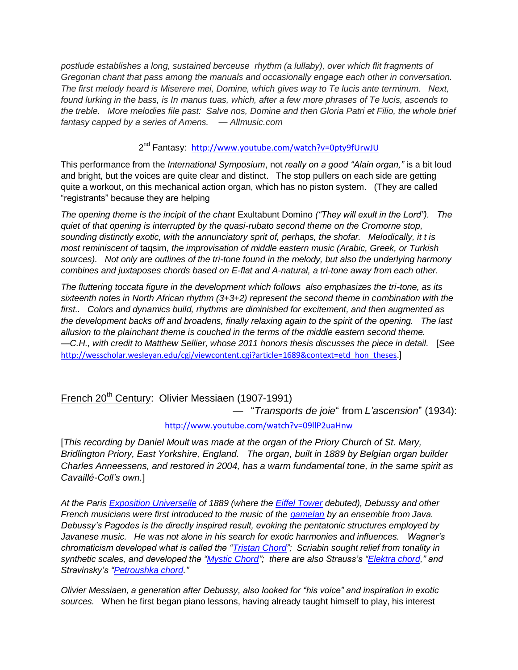*postlude establishes a long, sustained berceuse rhythm (a lullaby), over which flit fragments of Gregorian chant that pass among the manuals and occasionally engage each other in conversation. The first melody heard is Miserere mei, Domine, which gives way to Te lucis ante terminum. Next, found lurking in the bass, is In manus tuas, which, after a few more phrases of Te lucis, ascends to the treble. More melodies file past: Salve nos, Domine and then Gloria Patri et Filio, the whole brief fantasy capped by a series of Amens. — Allmusic.com*

2<sup>nd</sup> Fantasy: <http://www.youtube.com/watch?v=0pty9fUrwJU>

This performance from the *International Symposium*, not *really on a good "Alain organ*," is a bit loud and bright, but the voices are quite clear and distinct. The stop pullers on each side are getting quite a workout, on this mechanical action organ, which has no piston system. (They are called "registrants" because they are helping

*The opening theme is the incipit of the chant* Exultabunt Domino *(―They will exult in the Lord‖). The quiet of that opening is interrupted by the quasi-rubato second theme on the Cromorne stop, sounding distinctly exotic, with the annunciatory sprit of, perhaps, the shofar. Melodically, it t is most reminiscent of* taqsim*, the improvisation of middle eastern music (Arabic, Greek, or Turkish sources). Not only are outlines of the tri-tone found in the melody, but also the underlying harmony combines and juxtaposes chords based on E-flat and A-natural, a tri-tone away from each other.* 

*The fluttering toccata figure in the development which follows also emphasizes the tri-tone, as its sixteenth notes in North African rhythm (3+3+2) represent the second theme in combination with the first.. Colors and dynamics build, rhythms are diminished for excitement, and then augmented as the development backs off and broadens, finally relaxing again to the spirit of the opening. The last allusion to the plainchant theme is couched in the terms of the middle eastern second theme. —C.H., with credit to Matthew Sellier, whose 2011 honors thesis discusses the piece in detail.* [*See*  [http://wesscholar.wesleyan.edu/cgi/viewcontent.cgi?article=1689&context=etd\\_hon\\_theses.](http://wesscholar.wesleyan.edu/cgi/viewcontent.cgi?article=1689&context=etd_hon_theses)]

French 20<sup>th</sup> Century: Olivier Messiaen (1907-1991)

— ―*Transports de joie*― from *L'ascension*‖ (1934):

### <span id="page-37-0"></span><http://www.youtube.com/watch?v=09llP2uaHnw>

[*This recording by Daniel Moult was made at the organ of the Priory Church of St. Mary, Bridlington Priory, East Yorkshire, England. The organ, built in 1889 by Belgian organ builder Charles Anneessens, and restored in 2004, has a warm fundamental tone, in the same spirit as Cavaillé-Coll's own.*]

*At the Paris [Exposition Universelle](http://en.wikipedia.org/wiki/Exposition_Universelle_(1889)) of 1889 (where the [Eiffel Tower](http://en.wikipedia.org/wiki/Eiffel_Tower) debuted), Debussy and other French musicians were first introduced to the music of the [gamelan](http://en.wikipedia.org/wiki/Gamelan) by an ensemble from Java. Debussy's Pagodes is the directly inspired result, evoking the pentatonic structures employed by Javanese music. He was not alone in his search for exotic harmonies and influences. Wagner's chromaticism developed what is called the "Tristan Chord"; Scriabin sought relief from tonality in synthetic scales, and developed the "Mystic Chord"; there are also Strauss's "Elektra chord," and Stravinsky's [―Petroushka chord.](http://en.wikipedia.org/wiki/Petrushka_chord)‖*

*Olivier Messiaen, a generation after Debussy, also looked for "his voice" and inspiration in exotic sources.* When he first began piano lessons, having already taught himself to play, his interest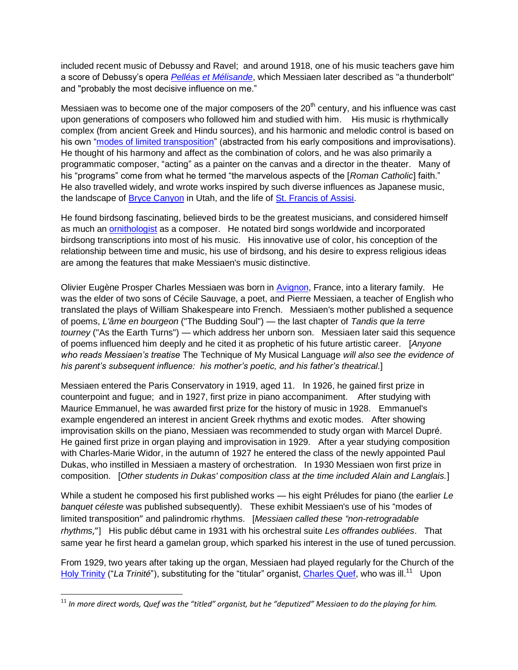included recent music of Debussy and Ravel; and around 1918, one of his music teachers gave him a score of Debussy's opera *[Pelléas et Mélisande](http://en.wikipedia.org/wiki/Pell%C3%A9as_et_M%C3%A9lisande_(opera))*, which Messiaen later described as "a thunderbolt" and "probably the most decisive influence on me."

Messiaen was to become one of the major composers of the  $20<sup>th</sup>$  century, and his influence was cast upon generations of composers who followed him and studied with him. His music is rhythmically complex (from ancient Greek and Hindu sources), and his harmonic and melodic control is based on his own "modes of limited transposition" (abstracted from his early compositions and improvisations). He thought of his harmony and affect as the combination of colors, and he was also primarily a programmatic composer, "acting" as a painter on the canvas and a director in the theater. Many of his "programs" come from what he termed "the marvelous aspects of the [*Roman Catholic*] faith." He also travelled widely, and wrote works inspired by such diverse influences as Japanese music, the landscape of [Bryce Canyon](http://en.wikipedia.org/wiki/Bryce_Canyon_National_Park) in Utah, and the life of [St. Francis of Assisi.](http://en.wikipedia.org/wiki/St._Francis_of_Assisi)

He found birdsong fascinating, believed birds to be the greatest musicians, and considered himself as much an [ornithologist](http://en.wikipedia.org/wiki/Ornithologist) as a composer. He notated bird songs worldwide and incorporated birdsong transcriptions into most of his music. His innovative use of color, his conception of the relationship between time and music, his use of birdsong, and his desire to express religious ideas are among the features that make Messiaen's music distinctive.

Olivier Eugène Prosper Charles Messiaen was born in [Avignon,](http://en.wikipedia.org/wiki/Avignon) France, into a literary family. He was the elder of two sons of Cécile Sauvage, a poet, and Pierre Messiaen, a teacher of English who translated the plays of William Shakespeare into French. Messiaen's mother published a sequence of poems, *L'âme en bourgeon* ("The Budding Soul") — the last chapter of *Tandis que la terre tourney* ("As the Earth Turns") — which address her unborn son. Messiaen later said this sequence of poems influenced him deeply and he cited it as prophetic of his future artistic career. [*Anyone who reads Messiaen's treatise* The Technique of My Musical Language *will also see the evidence of his parent's subsequent influence: his mother's poetic, and his father's theatrical.*]

Messiaen entered the Paris Conservatory in 1919, aged 11. In 1926, he gained first prize in [counterpoint](http://en.wikipedia.org/wiki/Counterpoint) and [fugue;](http://en.wikipedia.org/wiki/Fugue) and in 1927, first prize in piano [accompaniment.](http://en.wikipedia.org/wiki/Accompaniment) After studying with [Maurice Emmanuel,](http://en.wikipedia.org/wiki/Maurice_Emmanuel) he was awarded first prize for the history of music in 1928. Emmanuel's example engendered an interest in ancient Greek rhythms and exotic modes. After showing [improvisation](http://en.wikipedia.org/wiki/Improvisation) skills on the piano, Messiaen was recommended to study [organ](http://en.wikipedia.org/wiki/Organ_(music)) with [Marcel Dupré.](http://en.wikipedia.org/wiki/Marcel_Dupr%C3%A9) He gained first prize in organ playing and improvisation in 1929. After a year studying composition with [Charles-Marie Widor,](http://en.wikipedia.org/wiki/Charles-Marie_Widor) in the autumn of 1927 he entered the class of the newly appointed [Paul](http://en.wikipedia.org/wiki/Paul_Dukas)  [Dukas,](http://en.wikipedia.org/wiki/Paul_Dukas) who instilled in Messiaen a mastery of [orchestration.](http://en.wikipedia.org/wiki/Orchestration) In 1930 Messiaen won first prize in composition. [*Other students in Dukas' composition class at the time included Alain and Langlais.*]

While a student he composed his first published works — his eight Préludes for piano (the earlier *Le banquet céleste* was published subsequently). These exhibit Messiaen's use of his "modes of [limited transposition](http://en.wikipedia.org/wiki/Modes_of_limited_transposition)" and [palindromic](http://en.wikipedia.org/wiki/Palindrome) rhythms. [Messiaen called these "non-retrogradable *[rhythms](http://en.wikipedia.org/wiki/Retrograde_(music)#Non-retrogradable_rhythm)*,"] His public début came in 1931 with his orchestral suite *Les offrandes oubliées*. That same year he first heard a [gamelan](http://en.wikipedia.org/wiki/Gamelan) group, which sparked his interest in the use of tuned percussion.

From 1929, two years after taking up the organ, Messiaen had played regularly for the Church of the [Holy Trinity](http://en.wikipedia.org/wiki/Sainte-Trinit%C3%A9,_Paris) ("*La Trinité*"), substituting for the "titular" organist, <u>Charles Quef</u>, who was ill.<sup>11</sup> Upon

 $\overline{\phantom{a}}$ 

<sup>11</sup> *In more direct words, Quef was the "titled" organist, but he "deputized" Messiaen to do the playing for him.*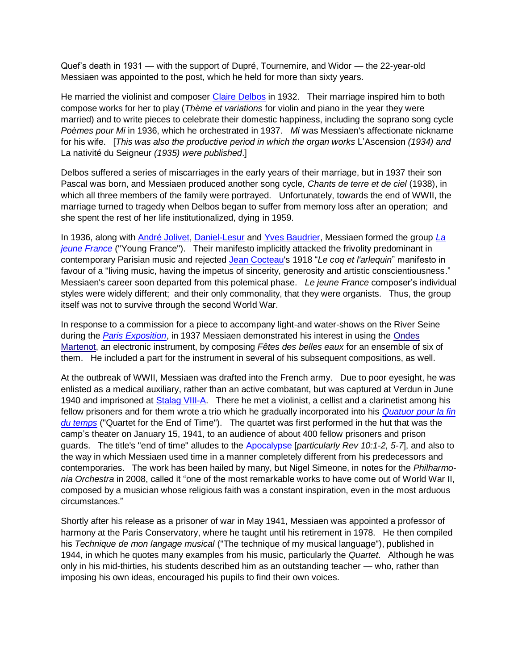Quef's death in 1931 — with the support of Dupré, Tournemire, and Widor — the 22-year-old Messiaen was appointed to the post, which he held for more than sixty years.

He married the violinist and composer [Claire Delbos](http://en.wikipedia.org/wiki/Claire_Delbos) in 1932. Their marriage inspired him to both compose works for her to play (*Thème et variations* for violin and piano in the year they were married) and to write pieces to celebrate their domestic happiness, including the soprano song cycle *Poèmes pour Mi* in 1936, which he orchestrated in 1937. *Mi* was Messiaen's affectionate nickname for his wife. [*This was also the productive period in which the organ works* L'Ascension (1934) and La nativité du Seigneur *(1935) were published*.]

Delbos suffered a series of miscarriages in the early years of their marriage, but in 1937 their son Pascal was born, and Messiaen produced another song cycle, *Chants de terre et de ciel* (1938), in which all three members of the family were portrayed. Unfortunately, towards the end of WWII, the marriage turned to tragedy when Delbos began to suffer from memory loss after an operation; and she spent the rest of her life institutionalized, dying in 1959.

In 1936, along with [André Jolivet,](http://en.wikipedia.org/wiki/Andr%C3%A9_Jolivet) [Daniel-Lesur](http://en.wikipedia.org/wiki/Daniel-Lesur) and [Yves Baudrier,](http://fr.wikipedia.org/wiki/Yves_Baudrier) Messiaen formed the group *[La](http://en.wikipedia.org/wiki/La_jeune_France)  [jeune France](http://en.wikipedia.org/wiki/La_jeune_France)* ("Young France"). Their manifesto implicitly attacked the frivolity predominant in contemporary Parisian music and rejected [Jean Cocteau's](http://en.wikipedia.org/wiki/Jean_Cocteau) 1918 "Le coq et l'arlequin" manifesto in favour of a "living music, having the impetus of sincerity, generosity and artistic conscientiousness." Messiaen's career soon departed from this polemical phase. *Le jeune France* composer's individual styles were widely different; and their only commonality, that they were organists. Thus, the group itself was not to survive through the second World War.

In response to a commission for a piece to accompany light-and water-shows on the River Seine during the *[Paris Exposition](http://en.wikipedia.org/wiki/Exposition_Internationale_des_Arts_et_Techniques_dans_la_Vie_Moderne_(1937))*, in 1937 Messiaen demonstrated his interest in using the [Ondes](http://en.wikipedia.org/wiki/Ondes_Martenot)  [Martenot,](http://en.wikipedia.org/wiki/Ondes_Martenot) an electronic instrument, by composing *Fêtes des belles eaux* for an ensemble of six of them. He included a part for the instrument in several of his subsequent compositions, as well.

At the outbreak of WWII, Messiaen was drafted into the French army. Due to poor eyesight, he was enlisted as a medical auxiliary, rather than an active combatant, but was captured at Verdun in June 1940 and imprisoned at **Stalag VIII-A**. There he met a violinist, a cellist and a clarinetist among his fellow prisoners and for them wrote a trio which he gradually incorporated into his *[Quatuor pour la fin](http://en.wikipedia.org/wiki/Quatuor_pour_la_fin_du_temps)  [du temps](http://en.wikipedia.org/wiki/Quatuor_pour_la_fin_du_temps)* ("Quartet for the End of Time"). The quartet was first performed in the hut that was the camp's theater on January 15, 1941, to an audience of about 400 fellow prisoners and prison guards. The title's "end of time" alludes to the [Apocalypse](http://en.wikipedia.org/wiki/Apocalypse) [*particularly Rev 10:1-2, 5-7*], and also to the way in which Messiaen used time in a manner completely different from his predecessors and contemporaries. The work has been hailed by many, but Nigel Simeone, in notes for the *Philharmonia Orchestra* in 2008, called it "one of the most remarkable works to have come out of World War II, composed by a musician whose religious faith was a constant inspiration, even in the most arduous circumstances.‖

Shortly after his release as a prisoner of war in May 1941, Messiaen was appointed a professor of harmony at the Paris Conservatory, where he taught until his retirement in 1978. He then compiled his *Technique de mon langage musical* ("The technique of my musical language"), published in 1944, in which he quotes many examples from his music, particularly the *Quartet*. Although he was only in his mid-thirties, his students described him as an outstanding teacher — who, rather than imposing his own ideas, encouraged his pupils to find their own voices.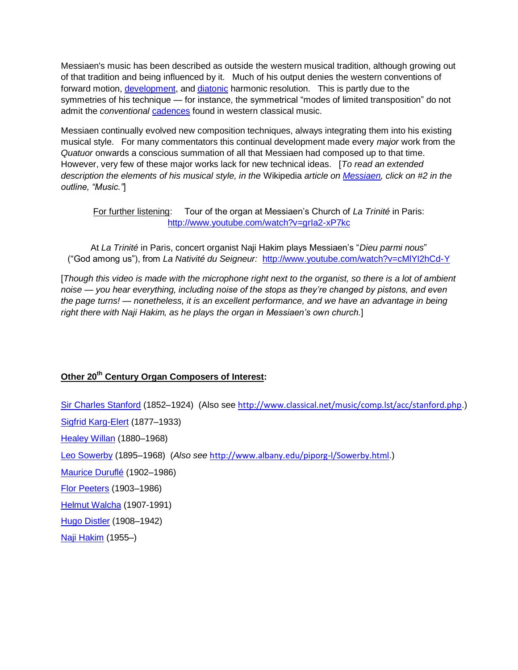Messiaen's music has been described as outside the western musical tradition, although growing out of that tradition and being influenced by it. Much of his output denies the western conventions of forward motion, [development,](http://en.wikipedia.org/wiki/Musical_development) and [diatonic](http://en.wikipedia.org/wiki/Diatonic_scale) harmonic resolution. This is partly due to the symmetries of his technique — for instance, the symmetrical "modes of limited transposition" do not admit the *conventional* [cadences](http://en.wikipedia.org/wiki/Cadence_(music)) found in western classical music.

Messiaen continually evolved new composition techniques, always integrating them into his existing musical style. For many commentators this continual development made every *major* work from the *Quatuor* onwards a conscious summation of all that Messiaen had composed up to that time. However, very few of these major works lack for new technical ideas. [*To read an extended description the elements of his musical style, in the* Wikipedia *article on [Messiaen,](http://en.wikipedia.org/wiki/Olivier_Messiaen#Music) click on #2 in the outline, ―Music.‖*]

For further listening: Tour of the organ at Messiaen's Church of *La Trinité* in Paris: <http://www.youtube.com/watch?v=grIa2-xP7kc>

At *La Trinité* in Paris, concert organist Naji Hakim plays Messiaen's "Dieu parmi nous" (―God among us‖), from *La Nativité du Seigneur:* <http://www.youtube.com/watch?v=cMlYI2hCd-Y>

[*Though this video is made with the microphone right next to the organist, so there is a lot of ambient noise — you hear everything, including noise of the stops as they're changed by pistons, and even the page turns! — nonetheless, it is an excellent performance, and we have an advantage in being right there with Naji Hakim, as he plays the organ in Messiaen's own church.*]

### <span id="page-40-0"></span>**Other 20th Century Organ Composers of Interest:**

[Sir Charles Stanford](Sir%20Charles%20Stanford) (1852–1924) (Also see <http://www.classical.net/music/comp.lst/acc/stanford.php>.) [Sigfrid Karg-Elert](http://en.wikipedia.org/wiki/Karg-Elert) (1877–1933) [Healey Willan](http://en.wikipedia.org/wiki/Healey_Willan) (1880–1968) [Leo Sowerby](http://en.wikipedia.org/wiki/Leo_Sowerby) (1895–1968) (*Also see* <http://www.albany.edu/piporg-l/Sowerby.html>.) [Maurice Duruflé](http://en.wikipedia.org/wiki/Maurice_Durufl%C3%A9) (1902–1986) [Flor Peeters](http://en.wikipedia.org/wiki/Flor_Peeters) (1903–1986) [Helmut Walcha](http://en.wikipedia.org/wiki/Helmut_Walcha) (1907-1991) [Hugo Distler](http://en.wikipedia.org/wiki/Hugo_Distler) (1908–1942) [Naji Hakim](http://en.wikipedia.org/wiki/Naji_Hakim) (1955–)